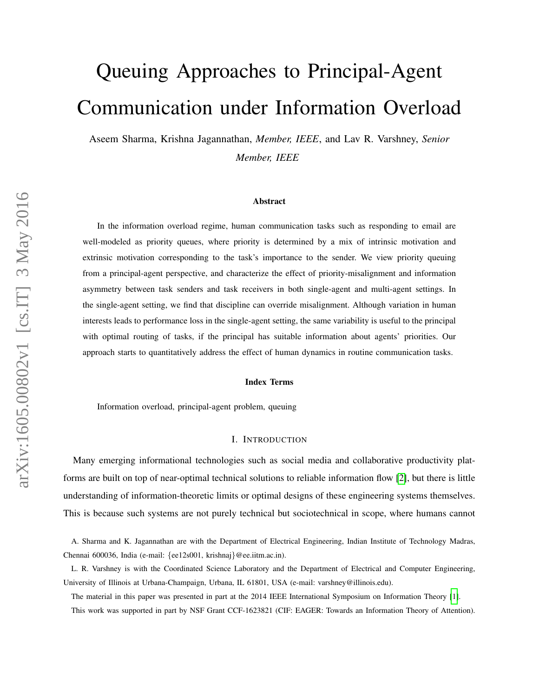# Queuing Approaches to Principal-Agent Communication under Information Overload

Aseem Sharma, Krishna Jagannathan, *Member, IEEE*, and Lav R. Varshney, *Senior Member, IEEE*

#### Abstract

In the information overload regime, human communication tasks such as responding to email are well-modeled as priority queues, where priority is determined by a mix of intrinsic motivation and extrinsic motivation corresponding to the task's importance to the sender. We view priority queuing from a principal-agent perspective, and characterize the effect of priority-misalignment and information asymmetry between task senders and task receivers in both single-agent and multi-agent settings. In the single-agent setting, we find that discipline can override misalignment. Although variation in human interests leads to performance loss in the single-agent setting, the same variability is useful to the principal with optimal routing of tasks, if the principal has suitable information about agents' priorities. Our approach starts to quantitatively address the effect of human dynamics in routine communication tasks.

#### Index Terms

Information overload, principal-agent problem, queuing

## I. INTRODUCTION

Many emerging informational technologies such as social media and collaborative productivity platforms are built on top of near-optimal technical solutions to reliable information flow [\[2\]](#page-33-0), but there is little understanding of information-theoretic limits or optimal designs of these engineering systems themselves. This is because such systems are not purely technical but sociotechnical in scope, where humans cannot

A. Sharma and K. Jagannathan are with the Department of Electrical Engineering, Indian Institute of Technology Madras, Chennai 600036, India (e-mail: {ee12s001, krishnaj}@ee.iitm.ac.in).

L. R. Varshney is with the Coordinated Science Laboratory and the Department of Electrical and Computer Engineering, University of Illinois at Urbana-Champaign, Urbana, IL 61801, USA (e-mail: varshney@illinois.edu).

The material in this paper was presented in part at the 2014 IEEE International Symposium on Information Theory [\[1\]](#page-33-1).

This work was supported in part by NSF Grant CCF-1623821 (CIF: EAGER: Towards an Information Theory of Attention).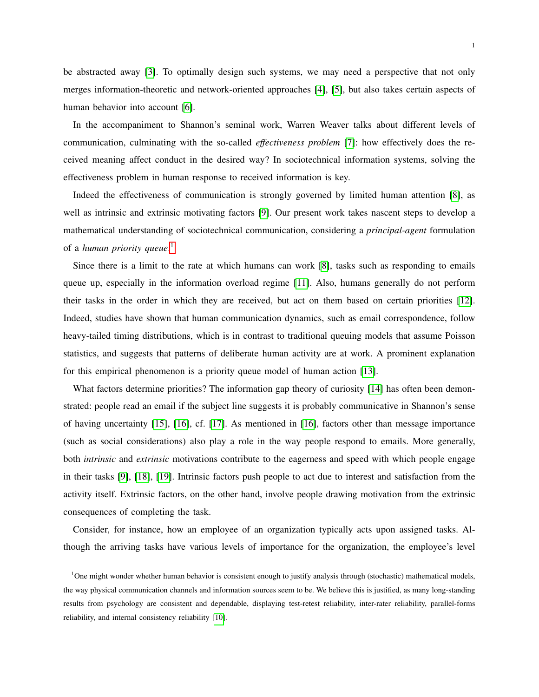be abstracted away [\[3\]](#page-33-2). To optimally design such systems, we may need a perspective that not only merges information-theoretic and network-oriented approaches [\[4\]](#page-33-3), [\[5\]](#page-33-4), but also takes certain aspects of human behavior into account [\[6\]](#page-33-5).

In the accompaniment to Shannon's seminal work, Warren Weaver talks about different levels of communication, culminating with the so-called *effectiveness problem* [\[7\]](#page-33-6): how effectively does the received meaning affect conduct in the desired way? In sociotechnical information systems, solving the effectiveness problem in human response to received information is key.

Indeed the effectiveness of communication is strongly governed by limited human attention [\[8\]](#page-33-7), as well as intrinsic and extrinsic motivating factors [\[9\]](#page-33-8). Our present work takes nascent steps to develop a mathematical understanding of sociotechnical communication, considering a *principal-agent* formulation of a *human priority queue*. [1](#page-1-0)

Since there is a limit to the rate at which humans can work [\[8\]](#page-33-7), tasks such as responding to emails queue up, especially in the information overload regime [\[11\]](#page-33-9). Also, humans generally do not perform their tasks in the order in which they are received, but act on them based on certain priorities [\[12\]](#page-33-10). Indeed, studies have shown that human communication dynamics, such as email correspondence, follow heavy-tailed timing distributions, which is in contrast to traditional queuing models that assume Poisson statistics, and suggests that patterns of deliberate human activity are at work. A prominent explanation for this empirical phenomenon is a priority queue model of human action [\[13\]](#page-33-11).

What factors determine priorities? The information gap theory of curiosity [\[14\]](#page-33-12) has often been demonstrated: people read an email if the subject line suggests it is probably communicative in Shannon's sense of having uncertainty [\[15\]](#page-33-13), [\[16\]](#page-33-14), cf. [\[17\]](#page-33-15). As mentioned in [\[16\]](#page-33-14), factors other than message importance (such as social considerations) also play a role in the way people respond to emails. More generally, both *intrinsic* and *extrinsic* motivations contribute to the eagerness and speed with which people engage in their tasks [\[9\]](#page-33-8), [\[18\]](#page-33-16), [\[19\]](#page-33-17). Intrinsic factors push people to act due to interest and satisfaction from the activity itself. Extrinsic factors, on the other hand, involve people drawing motivation from the extrinsic consequences of completing the task.

Consider, for instance, how an employee of an organization typically acts upon assigned tasks. Although the arriving tasks have various levels of importance for the organization, the employee's level

<span id="page-1-0"></span> $1$ One might wonder whether human behavior is consistent enough to justify analysis through (stochastic) mathematical models, the way physical communication channels and information sources seem to be. We believe this is justified, as many long-standing results from psychology are consistent and dependable, displaying test-retest reliability, inter-rater reliability, parallel-forms reliability, and internal consistency reliability [\[10\]](#page-33-18).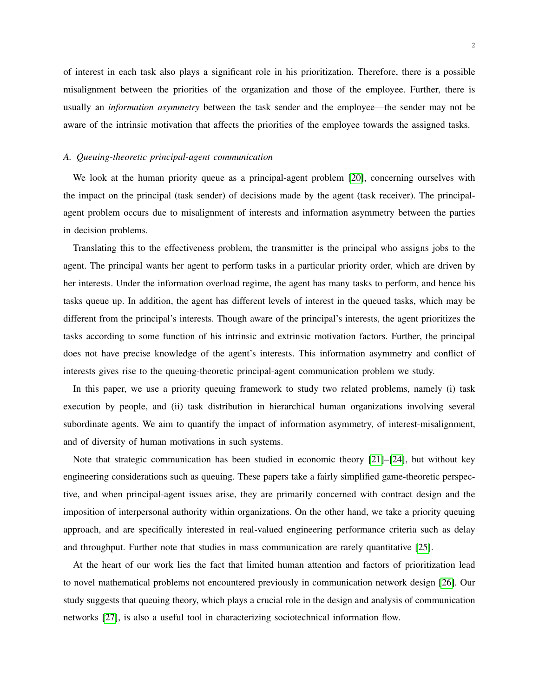of interest in each task also plays a significant role in his prioritization. Therefore, there is a possible misalignment between the priorities of the organization and those of the employee. Further, there is usually an *information asymmetry* between the task sender and the employee—the sender may not be aware of the intrinsic motivation that affects the priorities of the employee towards the assigned tasks.

## *A. Queuing-theoretic principal-agent communication*

We look at the human priority queue as a principal-agent problem [\[20\]](#page-33-19), concerning ourselves with the impact on the principal (task sender) of decisions made by the agent (task receiver). The principalagent problem occurs due to misalignment of interests and information asymmetry between the parties in decision problems.

Translating this to the effectiveness problem, the transmitter is the principal who assigns jobs to the agent. The principal wants her agent to perform tasks in a particular priority order, which are driven by her interests. Under the information overload regime, the agent has many tasks to perform, and hence his tasks queue up. In addition, the agent has different levels of interest in the queued tasks, which may be different from the principal's interests. Though aware of the principal's interests, the agent prioritizes the tasks according to some function of his intrinsic and extrinsic motivation factors. Further, the principal does not have precise knowledge of the agent's interests. This information asymmetry and conflict of interests gives rise to the queuing-theoretic principal-agent communication problem we study.

In this paper, we use a priority queuing framework to study two related problems, namely (i) task execution by people, and (ii) task distribution in hierarchical human organizations involving several subordinate agents. We aim to quantify the impact of information asymmetry, of interest-misalignment, and of diversity of human motivations in such systems.

Note that strategic communication has been studied in economic theory [\[21\]](#page-33-20)–[\[24\]](#page-33-21), but without key engineering considerations such as queuing. These papers take a fairly simplified game-theoretic perspective, and when principal-agent issues arise, they are primarily concerned with contract design and the imposition of interpersonal authority within organizations. On the other hand, we take a priority queuing approach, and are specifically interested in real-valued engineering performance criteria such as delay and throughput. Further note that studies in mass communication are rarely quantitative [\[25\]](#page-34-0).

At the heart of our work lies the fact that limited human attention and factors of prioritization lead to novel mathematical problems not encountered previously in communication network design [\[26\]](#page-34-1). Our study suggests that queuing theory, which plays a crucial role in the design and analysis of communication networks [\[27\]](#page-34-2), is also a useful tool in characterizing sociotechnical information flow.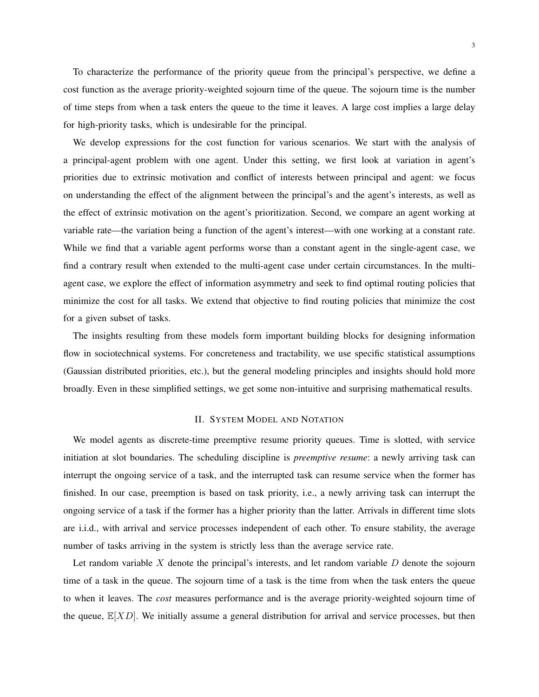To characterize the performance of the priority queue from the principal's perspective, we define a cost function as the average priority-weighted sojourn time of the queue. The sojourn time is the number of time steps from when a task enters the queue to the time it leaves. A large cost implies a large delay for high-priority tasks, which is undesirable for the principal.

We develop expressions for the cost function for various scenarios. We start with the analysis of a principal-agent problem with one agent. Under this setting, we first look at variation in agent's priorities due to extrinsic motivation and conflict of interests between principal and agent: we focus on understanding the effect of the alignment between the principal's and the agent's interests, as well as the effect of extrinsic motivation on the agent's prioritization. Second, we compare an agent working at variable rate—the variation being a function of the agent's interest—with one working at a constant rate. While we find that a variable agent performs worse than a constant agent in the single-agent case, we find a contrary result when extended to the multi-agent case under certain circumstances. In the multiagent case, we explore the effect of information asymmetry and seek to find optimal routing policies that minimize the cost for all tasks. We extend that objective to find routing policies that minimize the cost for a given subset of tasks.

The insights resulting from these models form important building blocks for designing information flow in sociotechnical systems. For concreteness and tractability, we use specific statistical assumptions (Gaussian distributed priorities, etc.), but the general modeling principles and insights should hold more broadly. Even in these simplified settings, we get some non-intuitive and surprising mathematical results.

# II. SYSTEM MODEL AND NOTATION

<span id="page-3-0"></span>We model agents as discrete-time preemptive resume priority queues. Time is slotted, with service initiation at slot boundaries. The scheduling discipline is *preemptive resume*: a newly arriving task can interrupt the ongoing service of a task, and the interrupted task can resume service when the former has finished. In our case, preemption is based on task priority, i.e., a newly arriving task can interrupt the ongoing service of a task if the former has a higher priority than the latter. Arrivals in different time slots are i.i.d., with arrival and service processes independent of each other. To ensure stability, the average number of tasks arriving in the system is strictly less than the average service rate.

Let random variable  $X$  denote the principal's interests, and let random variable  $D$  denote the sojourn time of a task in the queue. The sojourn time of a task is the time from when the task enters the queue to when it leaves. The *cost* measures performance and is the average priority-weighted sojourn time of the queue,  $\mathbb{E}[XD]$ . We initially assume a general distribution for arrival and service processes, but then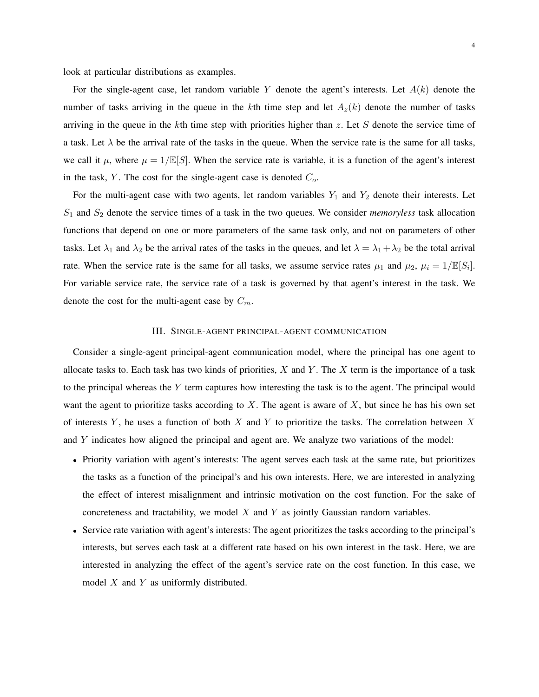look at particular distributions as examples.

For the single-agent case, let random variable Y denote the agent's interests. Let  $A(k)$  denote the number of tasks arriving in the queue in the kth time step and let  $A_z(k)$  denote the number of tasks arriving in the queue in the kth time step with priorities higher than  $z$ . Let  $S$  denote the service time of a task. Let  $\lambda$  be the arrival rate of the tasks in the queue. When the service rate is the same for all tasks, we call it  $\mu$ , where  $\mu = 1/\mathbb{E}[S]$ . When the service rate is variable, it is a function of the agent's interest in the task,  $Y$ . The cost for the single-agent case is denoted  $C<sub>o</sub>$ .

For the multi-agent case with two agents, let random variables  $Y_1$  and  $Y_2$  denote their interests. Let  $S_1$  and  $S_2$  denote the service times of a task in the two queues. We consider *memoryless* task allocation functions that depend on one or more parameters of the same task only, and not on parameters of other tasks. Let  $\lambda_1$  and  $\lambda_2$  be the arrival rates of the tasks in the queues, and let  $\lambda = \lambda_1 + \lambda_2$  be the total arrival rate. When the service rate is the same for all tasks, we assume service rates  $\mu_1$  and  $\mu_2$ ,  $\mu_i = 1/\mathbb{E}[S_i]$ . For variable service rate, the service rate of a task is governed by that agent's interest in the task. We denote the cost for the multi-agent case by  $C_m$ .

## III. SINGLE-AGENT PRINCIPAL-AGENT COMMUNICATION

Consider a single-agent principal-agent communication model, where the principal has one agent to allocate tasks to. Each task has two kinds of priorities,  $X$  and  $Y$ . The  $X$  term is the importance of a task to the principal whereas the Y term captures how interesting the task is to the agent. The principal would want the agent to prioritize tasks according to  $X$ . The agent is aware of  $X$ , but since he has his own set of interests Y, he uses a function of both X and Y to prioritize the tasks. The correlation between X and Y indicates how aligned the principal and agent are. We analyze two variations of the model:

- Priority variation with agent's interests: The agent serves each task at the same rate, but prioritizes the tasks as a function of the principal's and his own interests. Here, we are interested in analyzing the effect of interest misalignment and intrinsic motivation on the cost function. For the sake of concreteness and tractability, we model  $X$  and  $Y$  as jointly Gaussian random variables.
- Service rate variation with agent's interests: The agent prioritizes the tasks according to the principal's interests, but serves each task at a different rate based on his own interest in the task. Here, we are interested in analyzing the effect of the agent's service rate on the cost function. In this case, we model  $X$  and  $Y$  as uniformly distributed.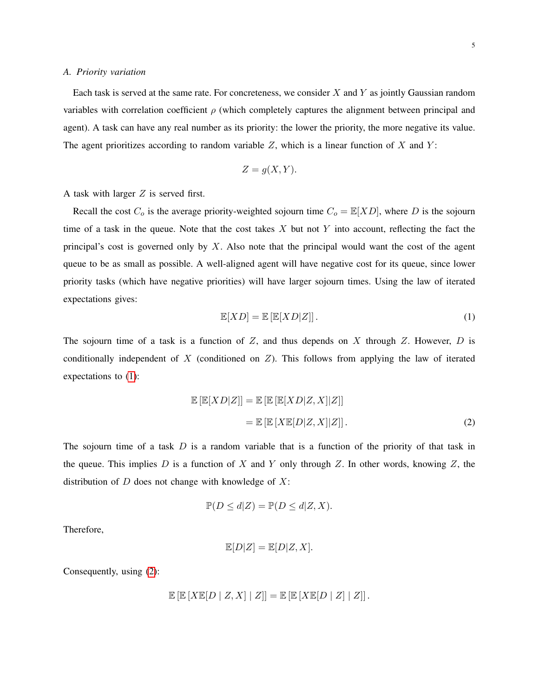# *A. Priority variation*

Each task is served at the same rate. For concreteness, we consider  $X$  and  $Y$  as jointly Gaussian random variables with correlation coefficient  $\rho$  (which completely captures the alignment between principal and agent). A task can have any real number as its priority: the lower the priority, the more negative its value. The agent prioritizes according to random variable  $Z$ , which is a linear function of  $X$  and  $Y$ :

$$
Z = g(X, Y).
$$

A task with larger  $Z$  is served first.

Recall the cost  $C_o$  is the average priority-weighted sojourn time  $C_o = \mathbb{E}[XD]$ , where D is the sojourn time of a task in the queue. Note that the cost takes  $X$  but not  $Y$  into account, reflecting the fact the principal's cost is governed only by  $X$ . Also note that the principal would want the cost of the agent queue to be as small as possible. A well-aligned agent will have negative cost for its queue, since lower priority tasks (which have negative priorities) will have larger sojourn times. Using the law of iterated expectations gives:

<span id="page-5-1"></span><span id="page-5-0"></span>
$$
\mathbb{E}[XD] = \mathbb{E}\left[\mathbb{E}[XD|Z]\right].\tag{1}
$$

The sojourn time of a task is a function of  $Z$ , and thus depends on  $X$  through  $Z$ . However,  $D$  is conditionally independent of X (conditioned on  $Z$ ). This follows from applying the law of iterated expectations to [\(1\)](#page-5-0):

$$
\mathbb{E}\left[\mathbb{E}[XD|Z]\right] = \mathbb{E}\left[\mathbb{E}[KD|Z, X]|Z]\right]
$$

$$
= \mathbb{E}\left[\mathbb{E}[XE[D|Z, X]|Z]\right].
$$
 (2)

The sojourn time of a task  $D$  is a random variable that is a function of the priority of that task in the queue. This implies  $D$  is a function of  $X$  and  $Y$  only through  $Z$ . In other words, knowing  $Z$ , the distribution of  $D$  does not change with knowledge of  $X$ :

$$
\mathbb{P}(D \le d|Z) = \mathbb{P}(D \le d|Z, X).
$$

Therefore,

$$
\mathbb{E}[D|Z] = \mathbb{E}[D|Z, X].
$$

Consequently, using [\(2\)](#page-5-1):

$$
\mathbb{E}\left[\mathbb{E}\left[X\mathbb{E}[D\mid Z,X]\mid Z\right]\right]=\mathbb{E}\left[\mathbb{E}\left[X\mathbb{E}[D\mid Z]\mid Z\right]\right].
$$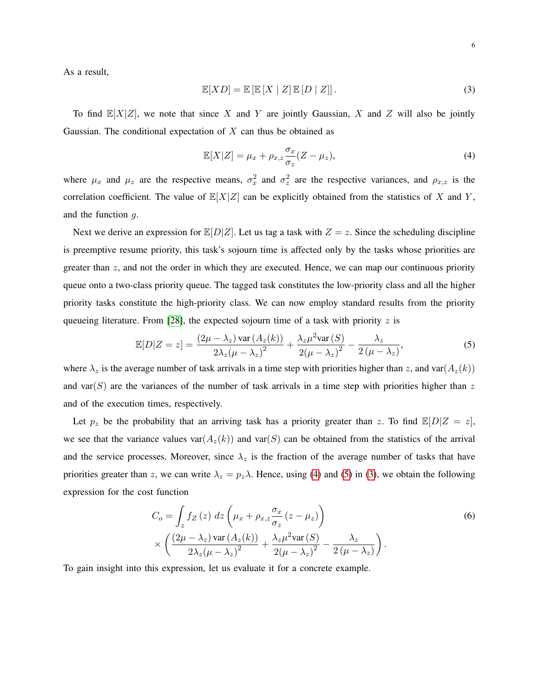As a result,

<span id="page-6-2"></span>
$$
\mathbb{E}[XD] = \mathbb{E}[\mathbb{E}[X \mid Z] \mathbb{E}[D \mid Z]]. \tag{3}
$$

To find  $\mathbb{E}[X|Z]$ , we note that since X and Y are jointly Gaussian, X and Z will also be jointly Gaussian. The conditional expectation of  $X$  can thus be obtained as

<span id="page-6-1"></span><span id="page-6-0"></span>
$$
\mathbb{E}[X|Z] = \mu_x + \rho_{x,z} \frac{\sigma_x}{\sigma_z} (Z - \mu_z), \tag{4}
$$

where  $\mu_x$  and  $\mu_z$  are the respective means,  $\sigma_x^2$  and  $\sigma_z^2$  are the respective variances, and  $\rho_{x,z}$  is the correlation coefficient. The value of  $\mathbb{E}[X|Z]$  can be explicitly obtained from the statistics of X and Y, and the function g.

Next we derive an expression for  $\mathbb{E}[D|Z]$ . Let us tag a task with  $Z = z$ . Since the scheduling discipline is preemptive resume priority, this task's sojourn time is affected only by the tasks whose priorities are greater than  $z$ , and not the order in which they are executed. Hence, we can map our continuous priority queue onto a two-class priority queue. The tagged task constitutes the low-priority class and all the higher priority tasks constitute the high-priority class. We can now employ standard results from the priority queueing literature. From [\[28\]](#page-34-3), the expected sojourn time of a task with priority z is

$$
\mathbb{E}[D|Z=z] = \frac{(2\mu - \lambda_z) \operatorname{var}(A_z(k))}{2\lambda_z(\mu - \lambda_z)^2} + \frac{\lambda_z \mu^2 \operatorname{var}(S)}{2(\mu - \lambda_z)^2} - \frac{\lambda_z}{2(\mu - \lambda_z)},
$$
(5)

where  $\lambda_z$  is the average number of task arrivals in a time step with priorities higher than z, and var $(A_z(k))$ and var $(S)$  are the variances of the number of task arrivals in a time step with priorities higher than z and of the execution times, respectively.

Let  $p_z$  be the probability that an arriving task has a priority greater than z. To find  $\mathbb{E}[D|Z=z]$ , we see that the variance values var $(A_z(k))$  and var $(S)$  can be obtained from the statistics of the arrival and the service processes. Moreover, since  $\lambda_z$  is the fraction of the average number of tasks that have priorities greater than z, we can write  $\lambda_z = p_z \lambda$ . Hence, using [\(4\)](#page-6-0) and [\(5\)](#page-6-1) in [\(3\)](#page-6-2), we obtain the following expression for the cost function

<span id="page-6-3"></span>
$$
C_{o} = \int_{z} f_{Z}(z) dz \left(\mu_{x} + \rho_{x,z} \frac{\sigma_{x}}{\sigma_{z}} (z - \mu_{z})\right)
$$
  
 
$$
\times \left(\frac{(2\mu - \lambda_{z}) \operatorname{var}(A_{z}(k))}{2\lambda_{z}(\mu - \lambda_{z})^{2}} + \frac{\lambda_{z} \mu^{2} \operatorname{var}(S)}{2(\mu - \lambda_{z})^{2}} - \frac{\lambda_{z}}{2(\mu - \lambda_{z})}\right).
$$
 (6)

To gain insight into this expression, let us evaluate it for a concrete example.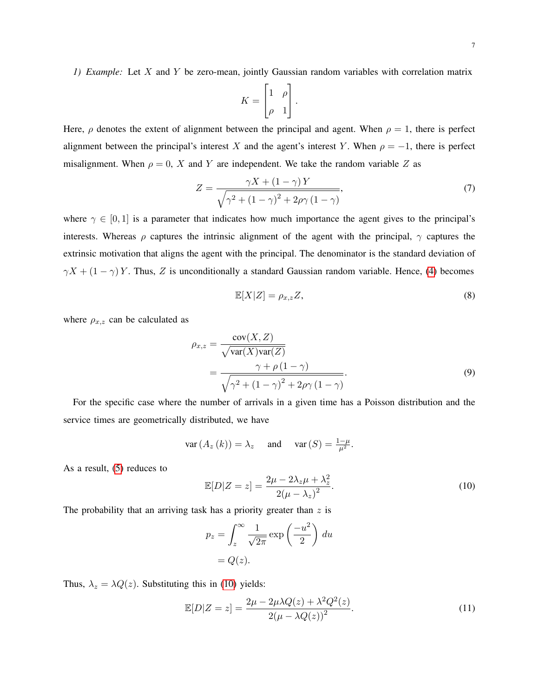*1) Example:* Let X and Y be zero-mean, jointly Gaussian random variables with correlation matrix

$$
K = \begin{bmatrix} 1 & \rho \\ \rho & 1 \end{bmatrix}.
$$

Here,  $\rho$  denotes the extent of alignment between the principal and agent. When  $\rho = 1$ , there is perfect alignment between the principal's interest X and the agent's interest Y. When  $\rho = -1$ , there is perfect misalignment. When  $\rho = 0$ , X and Y are independent. We take the random variable Z as

<span id="page-7-3"></span>
$$
Z = \frac{\gamma X + (1 - \gamma) Y}{\sqrt{\gamma^2 + (1 - \gamma)^2 + 2\rho \gamma (1 - \gamma)}},\tag{7}
$$

where  $\gamma \in [0, 1]$  is a parameter that indicates how much importance the agent gives to the principal's interests. Whereas  $\rho$  captures the intrinsic alignment of the agent with the principal,  $\gamma$  captures the extrinsic motivation that aligns the agent with the principal. The denominator is the standard deviation of  $\gamma X + (1 - \gamma) Y$ . Thus, Z is unconditionally a standard Gaussian random variable. Hence, [\(4\)](#page-6-0) becomes

<span id="page-7-4"></span><span id="page-7-1"></span>
$$
\mathbb{E}[X|Z] = \rho_{x,z}Z,\tag{8}
$$

where  $\rho_{x,z}$  can be calculated as

$$
\rho_{x,z} = \frac{\text{cov}(X, Z)}{\sqrt{\text{var}(X)\text{var}(Z)}}
$$
  
= 
$$
\frac{\gamma + \rho(1 - \gamma)}{\sqrt{\gamma^2 + (1 - \gamma)^2 + 2\rho\gamma(1 - \gamma)}}
$$
. (9)

For the specific case where the number of arrivals in a given time has a Poisson distribution and the service times are geometrically distributed, we have

$$
var(A_z(k)) = \lambda_z
$$
 and  $var(S) = \frac{1-\mu}{\mu^2}$ .

As a result, [\(5\)](#page-6-1) reduces to

<span id="page-7-0"></span>
$$
\mathbb{E}[D|Z=z] = \frac{2\mu - 2\lambda_z \mu + \lambda_z^2}{2(\mu - \lambda_z)^2}.
$$
\n(10)

The probability that an arriving task has a priority greater than  $z$  is

$$
p_z = \int_z^{\infty} \frac{1}{\sqrt{2\pi}} \exp\left(\frac{-u^2}{2}\right) du
$$
  
=  $Q(z)$ .

Thus,  $\lambda_z = \lambda Q(z)$ . Substituting this in [\(10\)](#page-7-0) yields:

<span id="page-7-2"></span>
$$
\mathbb{E}[D|Z=z] = \frac{2\mu - 2\mu\lambda Q(z) + \lambda^2 Q^2(z)}{2(\mu - \lambda Q(z))^2}.
$$
\n(11)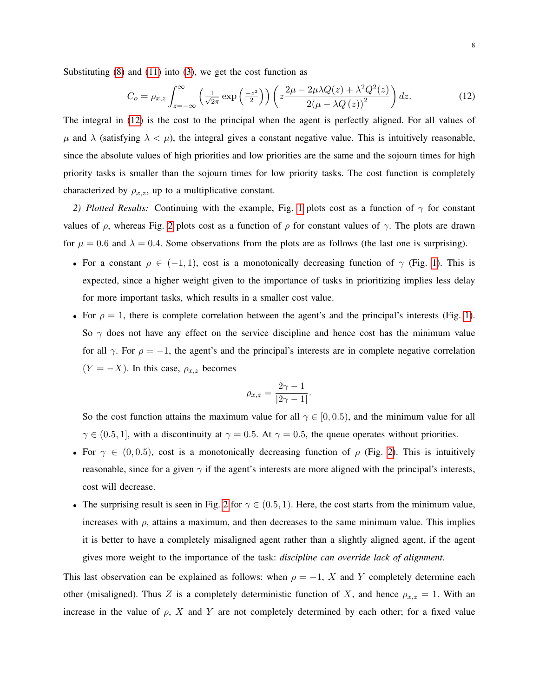Substituting  $(8)$  and  $(11)$  into  $(3)$ , we get the cost function as

<span id="page-8-0"></span>
$$
C_o = \rho_{x,z} \int_{z=-\infty}^{\infty} \left( \frac{1}{\sqrt{2\pi}} \exp\left(\frac{-z^2}{2}\right) \right) \left( z \frac{2\mu - 2\mu\lambda Q(z) + \lambda^2 Q^2(z)}{2(\mu - \lambda Q(z))^2} \right) dz.
$$
 (12)

The integral in [\(12\)](#page-8-0) is the cost to the principal when the agent is perfectly aligned. For all values of  $\mu$  and  $\lambda$  (satisfying  $\lambda < \mu$ ), the integral gives a constant negative value. This is intuitively reasonable, since the absolute values of high priorities and low priorities are the same and the sojourn times for high priority tasks is smaller than the sojourn times for low priority tasks. The cost function is completely characterized by  $\rho_{x,z}$ , up to a multiplicative constant.

*2) Plotted Results:* Continuing with the example, Fig. [1](#page-9-0) plots cost as a function of  $\gamma$  for constant values of  $\rho$ , whereas Fig. [2](#page-10-0) plots cost as a function of  $\rho$  for constant values of  $\gamma$ . The plots are drawn for  $\mu = 0.6$  and  $\lambda = 0.4$ . Some observations from the plots are as follows (the last one is surprising).

- For a constant  $\rho \in (-1,1)$ , cost is a monotonically decreasing function of  $\gamma$  (Fig. [1\)](#page-9-0). This is expected, since a higher weight given to the importance of tasks in prioritizing implies less delay for more important tasks, which results in a smaller cost value.
- For  $\rho = 1$ , there is complete correlation between the agent's and the principal's interests (Fig. [1\)](#page-9-0). So  $\gamma$  does not have any effect on the service discipline and hence cost has the minimum value for all  $\gamma$ . For  $\rho = -1$ , the agent's and the principal's interests are in complete negative correlation  $(Y = -X)$ . In this case,  $\rho_{x,z}$  becomes

$$
\rho_{x,z} = \frac{2\gamma - 1}{|2\gamma - 1|}.
$$

So the cost function attains the maximum value for all  $\gamma \in [0, 0.5)$ , and the minimum value for all  $\gamma \in (0.5, 1]$ , with a discontinuity at  $\gamma = 0.5$ . At  $\gamma = 0.5$ , the queue operates without priorities.

- For  $\gamma \in (0, 0.5)$ , cost is a monotonically decreasing function of  $\rho$  (Fig. [2\)](#page-10-0). This is intuitively reasonable, since for a given  $\gamma$  if the agent's interests are more aligned with the principal's interests, cost will decrease.
- The surprising result is seen in Fig. [2](#page-10-0) for  $\gamma \in (0.5, 1)$ . Here, the cost starts from the minimum value, increases with  $\rho$ , attains a maximum, and then decreases to the same minimum value. This implies it is better to have a completely misaligned agent rather than a slightly aligned agent, if the agent gives more weight to the importance of the task: *discipline can override lack of alignment*.

This last observation can be explained as follows: when  $\rho = -1$ , X and Y completely determine each other (misaligned). Thus Z is a completely deterministic function of X, and hence  $\rho_{x,z} = 1$ . With an increase in the value of  $\rho$ , X and Y are not completely determined by each other; for a fixed value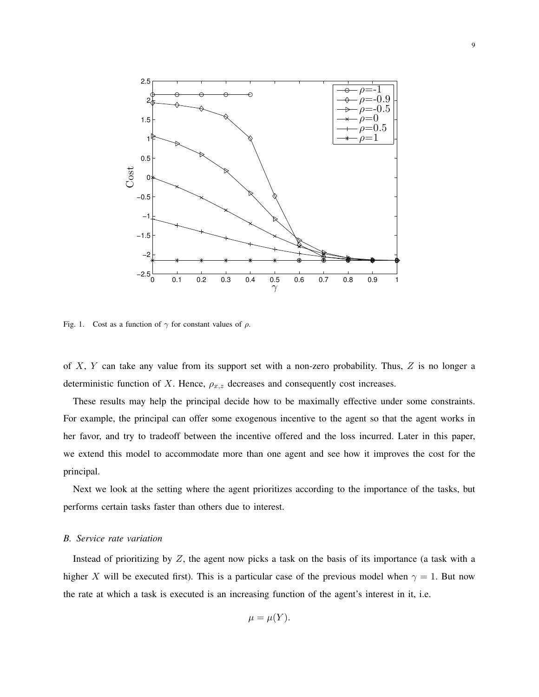

<span id="page-9-0"></span>Fig. 1. Cost as a function of  $\gamma$  for constant values of  $\rho$ .

of X, Y can take any value from its support set with a non-zero probability. Thus, Z is no longer a deterministic function of X. Hence,  $\rho_{x,z}$  decreases and consequently cost increases.

These results may help the principal decide how to be maximally effective under some constraints. For example, the principal can offer some exogenous incentive to the agent so that the agent works in her favor, and try to tradeoff between the incentive offered and the loss incurred. Later in this paper, we extend this model to accommodate more than one agent and see how it improves the cost for the principal.

Next we look at the setting where the agent prioritizes according to the importance of the tasks, but performs certain tasks faster than others due to interest.

## *B. Service rate variation*

Instead of prioritizing by Z, the agent now picks a task on the basis of its importance (a task with a higher X will be executed first). This is a particular case of the previous model when  $\gamma = 1$ . But now the rate at which a task is executed is an increasing function of the agent's interest in it, i.e.

$$
\mu=\mu(Y).
$$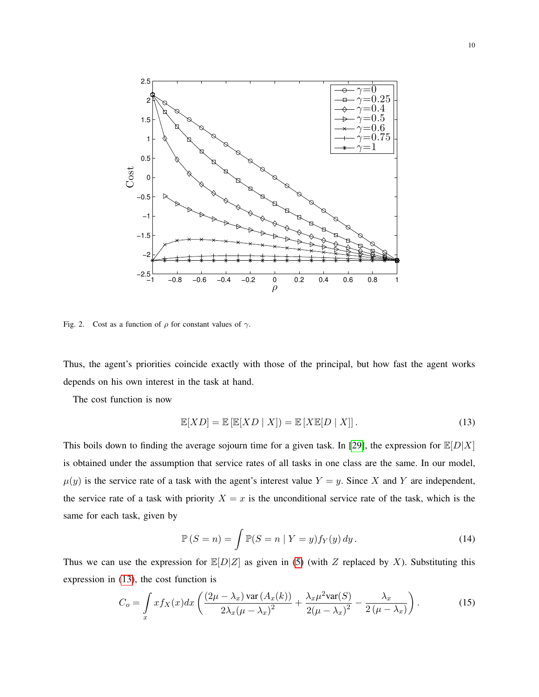

<span id="page-10-0"></span>Fig. 2. Cost as a function of  $\rho$  for constant values of  $\gamma$ .

Thus, the agent's priorities coincide exactly with those of the principal, but how fast the agent works depends on his own interest in the task at hand.

The cost function is now

<span id="page-10-1"></span>
$$
\mathbb{E}[XD] = \mathbb{E}[\mathbb{E}[XD \mid X]) = \mathbb{E}[X\mathbb{E}[D \mid X]]. \tag{13}
$$

This boils down to finding the average sojourn time for a given task. In [\[29\]](#page-34-4), the expression for  $\mathbb{E}[D|X]$ is obtained under the assumption that service rates of all tasks in one class are the same. In our model,  $\mu(y)$  is the service rate of a task with the agent's interest value  $Y = y$ . Since X and Y are independent, the service rate of a task with priority  $X = x$  is the unconditional service rate of the task, which is the same for each task, given by

<span id="page-10-3"></span><span id="page-10-2"></span>
$$
\mathbb{P}\left(S=n\right) = \int \mathbb{P}(S=n \mid Y=y) f_Y(y) \, dy. \tag{14}
$$

Thus we can use the expression for  $\mathbb{E}[D|Z]$  as given in [\(5\)](#page-6-1) (with Z replaced by X). Substituting this expression in [\(13\)](#page-10-1), the cost function is

$$
C_o = \int_x x f_X(x) dx \left( \frac{(2\mu - \lambda_x) \operatorname{var}(A_x(k))}{2\lambda_x (\mu - \lambda_x)^2} + \frac{\lambda_x \mu^2 \operatorname{var}(S)}{2(\mu - \lambda_x)^2} - \frac{\lambda_x}{2(\mu - \lambda_x)} \right). \tag{15}
$$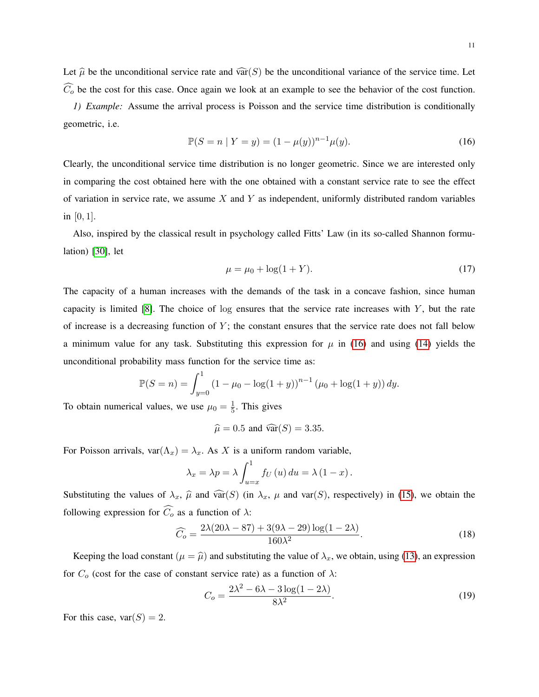Let  $\hat{\mu}$  be the unconditional service rate and var $\hat{\alpha}(S)$  be the unconditional variance of the service time. Let  $\widehat{C}_o$  be the cost for this case. Once again we look at an example to see the behavior of the cost function.

*1) Example:* Assume the arrival process is Poisson and the service time distribution is conditionally geometric, i.e.

<span id="page-11-0"></span>
$$
\mathbb{P}(S = n | Y = y) = (1 - \mu(y))^{n-1} \mu(y).
$$
\n(16)

Clearly, the unconditional service time distribution is no longer geometric. Since we are interested only in comparing the cost obtained here with the one obtained with a constant service rate to see the effect of variation in service rate, we assume  $X$  and  $Y$  as independent, uniformly distributed random variables in [0, 1].

Also, inspired by the classical result in psychology called Fitts' Law (in its so-called Shannon formulation) [\[30\]](#page-34-5), let

<span id="page-11-1"></span>
$$
\mu = \mu_0 + \log(1 + Y). \tag{17}
$$

The capacity of a human increases with the demands of the task in a concave fashion, since human capacity is limited  $[8]$ . The choice of log ensures that the service rate increases with Y, but the rate of increase is a decreasing function of  $Y$ ; the constant ensures that the service rate does not fall below a minimum value for any task. Substituting this expression for  $\mu$  in [\(16\)](#page-11-0) and using [\(14\)](#page-10-2) yields the unconditional probability mass function for the service time as:

$$
\mathbb{P}(S = n) = \int_{y=0}^{1} (1 - \mu_0 - \log(1 + y))^{n-1} (\mu_0 + \log(1 + y)) dy.
$$

To obtain numerical values, we use  $\mu_0 = \frac{1}{5}$  $\frac{1}{5}$ . This gives

$$
\widehat{\mu} = 0.5 \text{ and } \widehat{\text{var}}(S) = 3.35.
$$

For Poisson arrivals,  $var(\Lambda_x) = \lambda_x$ . As X is a uniform random variable,

$$
\lambda_x = \lambda p = \lambda \int_{u=x}^{1} f_U(u) \, du = \lambda (1-x) \, .
$$

Substituting the values of  $\lambda_x$ ,  $\hat{\mu}$  and var $(S)$  (in  $\lambda_x$ ,  $\mu$  and var $(S)$ , respectively) in [\(15\)](#page-10-3), we obtain the following expression for  $\widehat{C}_o$  as a function of  $\lambda$ :

$$
\widehat{C}_o = \frac{2\lambda(20\lambda - 87) + 3(9\lambda - 29)\log(1 - 2\lambda)}{160\lambda^2}.
$$
\n(18)

Keeping the load constant  $(\mu = \hat{\mu})$  and substituting the value of  $\lambda_x$ , we obtain, using [\(13\)](#page-10-1), an expression for  $C<sub>o</sub>$  (cost for the case of constant service rate) as a function of  $\lambda$ :

$$
C_o = \frac{2\lambda^2 - 6\lambda - 3\log(1 - 2\lambda)}{8\lambda^2}.
$$
\n(19)

For this case,  $var(S) = 2$ .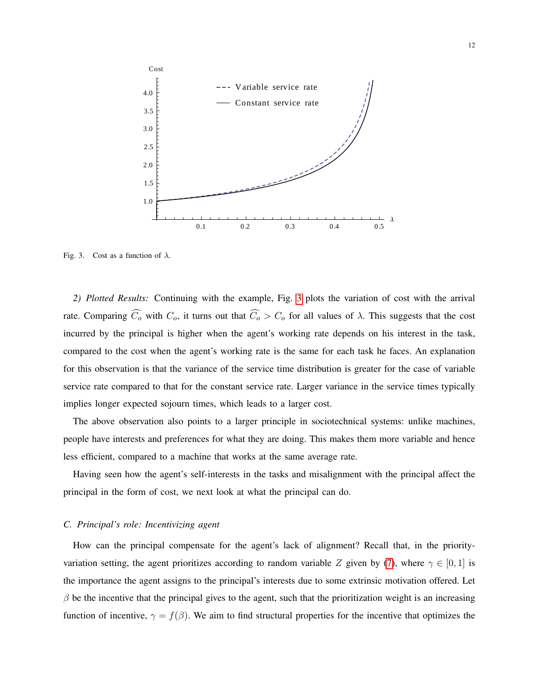

<span id="page-12-0"></span>Fig. 3. Cost as a function of  $\lambda$ .

*2) Plotted Results:* Continuing with the example, Fig. [3](#page-12-0) plots the variation of cost with the arrival rate. Comparing  $\widehat{C}_o$  with  $C_o$ , it turns out that  $\widehat{C}_o > C_o$  for all values of  $\lambda$ . This suggests that the cost incurred by the principal is higher when the agent's working rate depends on his interest in the task, compared to the cost when the agent's working rate is the same for each task he faces. An explanation for this observation is that the variance of the service time distribution is greater for the case of variable service rate compared to that for the constant service rate. Larger variance in the service times typically implies longer expected sojourn times, which leads to a larger cost.

The above observation also points to a larger principle in sociotechnical systems: unlike machines, people have interests and preferences for what they are doing. This makes them more variable and hence less efficient, compared to a machine that works at the same average rate.

Having seen how the agent's self-interests in the tasks and misalignment with the principal affect the principal in the form of cost, we next look at what the principal can do.

# *C. Principal's role: Incentivizing agent*

How can the principal compensate for the agent's lack of alignment? Recall that, in the priority-variation setting, the agent prioritizes according to random variable Z given by [\(7\)](#page-7-3), where  $\gamma \in [0, 1]$  is the importance the agent assigns to the principal's interests due to some extrinsic motivation offered. Let  $\beta$  be the incentive that the principal gives to the agent, such that the prioritization weight is an increasing function of incentive,  $\gamma = f(\beta)$ . We aim to find structural properties for the incentive that optimizes the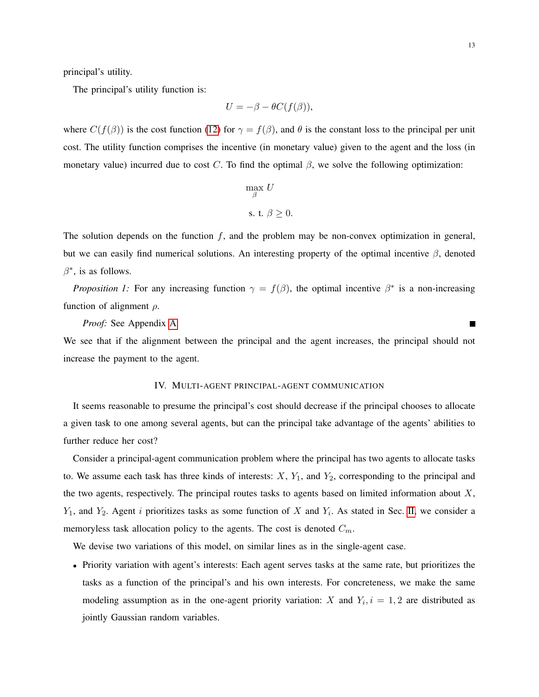$\blacksquare$ 

principal's utility.

The principal's utility function is:

$$
U = -\beta - \theta C(f(\beta)),
$$

where  $C(f(\beta))$  is the cost function [\(12\)](#page-8-0) for  $\gamma = f(\beta)$ , and  $\theta$  is the constant loss to the principal per unit cost. The utility function comprises the incentive (in monetary value) given to the agent and the loss (in monetary value) incurred due to cost C. To find the optimal  $\beta$ , we solve the following optimization:

$$
\max_{\beta} U
$$
  
s. t.  $\beta \ge 0$ .

<span id="page-13-0"></span>The solution depends on the function  $f$ , and the problem may be non-convex optimization in general, but we can easily find numerical solutions. An interesting property of the optimal incentive  $\beta$ , denoted  $\beta^*$ , is as follows.

*Proposition 1:* For any increasing function  $\gamma = f(\beta)$ , the optimal incentive  $\beta^*$  is a non-increasing function of alignment  $\rho$ .

*Proof:* See Appendix [A.](#page-23-0)

We see that if the alignment between the principal and the agent increases, the principal should not increase the payment to the agent.

## IV. MULTI-AGENT PRINCIPAL-AGENT COMMUNICATION

It seems reasonable to presume the principal's cost should decrease if the principal chooses to allocate a given task to one among several agents, but can the principal take advantage of the agents' abilities to further reduce her cost?

Consider a principal-agent communication problem where the principal has two agents to allocate tasks to. We assume each task has three kinds of interests:  $X$ ,  $Y_1$ , and  $Y_2$ , corresponding to the principal and the two agents, respectively. The principal routes tasks to agents based on limited information about  $X$ ,  $Y_1$ , and  $Y_2$ . Agent *i* prioritizes tasks as some function of X and  $Y_i$ . As stated in Sec. [II,](#page-3-0) we consider a memoryless task allocation policy to the agents. The cost is denoted  $C_m$ .

We devise two variations of this model, on similar lines as in the single-agent case.

• Priority variation with agent's interests: Each agent serves tasks at the same rate, but prioritizes the tasks as a function of the principal's and his own interests. For concreteness, we make the same modeling assumption as in the one-agent priority variation: X and  $Y_i$ ,  $i = 1, 2$  are distributed as jointly Gaussian random variables.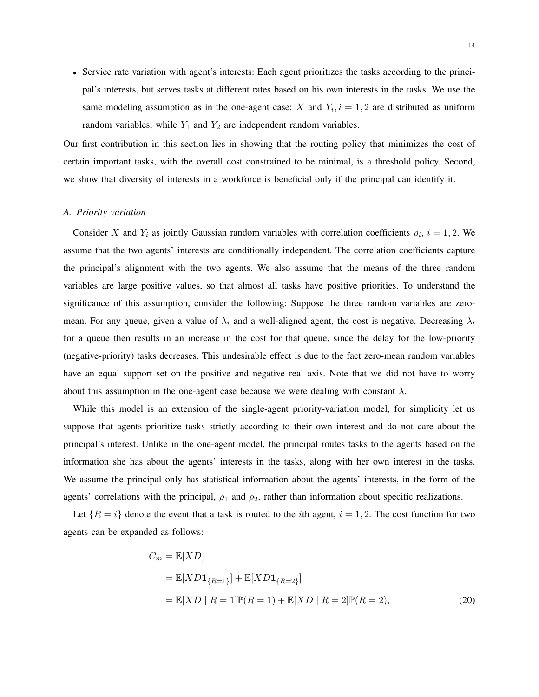• Service rate variation with agent's interests: Each agent prioritizes the tasks according to the principal's interests, but serves tasks at different rates based on his own interests in the tasks. We use the same modeling assumption as in the one-agent case: X and  $Y_i$ ,  $i = 1, 2$  are distributed as uniform random variables, while  $Y_1$  and  $Y_2$  are independent random variables.

Our first contribution in this section lies in showing that the routing policy that minimizes the cost of certain important tasks, with the overall cost constrained to be minimal, is a threshold policy. Second, we show that diversity of interests in a workforce is beneficial only if the principal can identify it.

## *A. Priority variation*

Consider X and  $Y_i$  as jointly Gaussian random variables with correlation coefficients  $\rho_i$ ,  $i = 1, 2$ . We assume that the two agents' interests are conditionally independent. The correlation coefficients capture the principal's alignment with the two agents. We also assume that the means of the three random variables are large positive values, so that almost all tasks have positive priorities. To understand the significance of this assumption, consider the following: Suppose the three random variables are zeromean. For any queue, given a value of  $\lambda_i$  and a well-aligned agent, the cost is negative. Decreasing  $\lambda_i$ for a queue then results in an increase in the cost for that queue, since the delay for the low-priority (negative-priority) tasks decreases. This undesirable effect is due to the fact zero-mean random variables have an equal support set on the positive and negative real axis. Note that we did not have to worry about this assumption in the one-agent case because we were dealing with constant  $\lambda$ .

While this model is an extension of the single-agent priority-variation model, for simplicity let us suppose that agents prioritize tasks strictly according to their own interest and do not care about the principal's interest. Unlike in the one-agent model, the principal routes tasks to the agents based on the information she has about the agents' interests in the tasks, along with her own interest in the tasks. We assume the principal only has statistical information about the agents' interests, in the form of the agents' correlations with the principal,  $\rho_1$  and  $\rho_2$ , rather than information about specific realizations.

Let  $\{R = i\}$  denote the event that a task is routed to the *i*th agent,  $i = 1, 2$ . The cost function for two agents can be expanded as follows:

<span id="page-14-0"></span>
$$
C_m = \mathbb{E}[XD]
$$
  
=  $\mathbb{E}[XD \mathbf{1}_{\{R=1\}}] + \mathbb{E}[XD \mathbf{1}_{\{R=2\}}]$   
=  $\mathbb{E}[XD \mid R = 1] \mathbb{P}(R = 1) + \mathbb{E}[XD \mid R = 2] \mathbb{P}(R = 2),$  (20)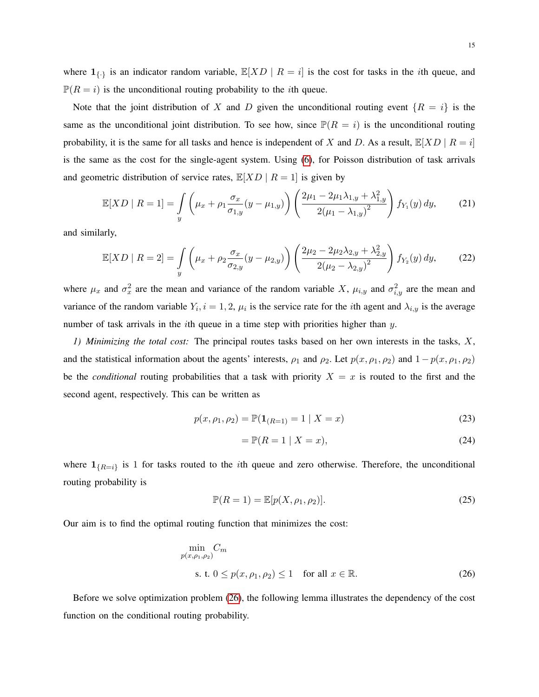where  $1_{\{.\}}$  is an indicator random variable,  $\mathbb{E}[XD \mid R = i]$  is the cost for tasks in the *i*th queue, and  $\mathbb{P}(R = i)$  is the unconditional routing probability to the *i*th queue.

Note that the joint distribution of X and D given the unconditional routing event  $\{R = i\}$  is the same as the unconditional joint distribution. To see how, since  $\mathbb{P}(R = i)$  is the unconditional routing probability, it is the same for all tasks and hence is independent of X and D. As a result,  $\mathbb{E}[XD | R = i]$ is the same as the cost for the single-agent system. Using [\(6\)](#page-6-3), for Poisson distribution of task arrivals and geometric distribution of service rates,  $\mathbb{E}[XD \mid R = 1]$  is given by

$$
\mathbb{E}[XD \mid R = 1] = \int_{y} \left( \mu_x + \rho_1 \frac{\sigma_x}{\sigma_{1,y}} (y - \mu_{1,y}) \right) \left( \frac{2\mu_1 - 2\mu_1 \lambda_{1,y} + \lambda_{1,y}^2}{2(\mu_1 - \lambda_{1,y})^2} \right) f_{Y_1}(y) \, dy,\tag{21}
$$

and similarly,

$$
\mathbb{E}[XD \mid R = 2] = \int_{y} \left( \mu_x + \rho_2 \frac{\sigma_x}{\sigma_{2,y}} (y - \mu_{2,y}) \right) \left( \frac{2\mu_2 - 2\mu_2 \lambda_{2,y} + \lambda_{2,y}^2}{2(\mu_2 - \lambda_{2,y})^2} \right) f_{Y_2}(y) dy, \tag{22}
$$

where  $\mu_x$  and  $\sigma_x^2$  are the mean and variance of the random variable X,  $\mu_{i,y}$  and  $\sigma_{i,y}^2$  are the mean and variance of the random variable  $Y_i$ ,  $i = 1, 2, \mu_i$  is the service rate for the *i*th agent and  $\lambda_{i,y}$  is the average number of task arrivals in the *i*th queue in a time step with priorities higher than  $y$ .

*1) Minimizing the total cost:* The principal routes tasks based on her own interests in the tasks, X, and the statistical information about the agents' interests,  $\rho_1$  and  $\rho_2$ . Let  $p(x, \rho_1, \rho_2)$  and  $1 - p(x, \rho_1, \rho_2)$ be the *conditional* routing probabilities that a task with priority  $X = x$  is routed to the first and the second agent, respectively. This can be written as

$$
p(x, \rho_1, \rho_2) = \mathbb{P}(\mathbf{1}_{(R=1)} = 1 \mid X = x)
$$
\n(23)

<span id="page-15-2"></span><span id="page-15-0"></span>
$$
= \mathbb{P}(R = 1 \mid X = x),\tag{24}
$$

where  $1_{\{R=i\}}$  is 1 for tasks routed to the *i*th queue and zero otherwise. Therefore, the unconditional routing probability is

<span id="page-15-3"></span>
$$
\mathbb{P}(R=1) = \mathbb{E}[p(X, \rho_1, \rho_2)].
$$
\n(25)

Our aim is to find the optimal routing function that minimizes the cost:

<span id="page-15-1"></span>
$$
\min_{p(x,\rho_1,\rho_2)} C_m
$$
\n
$$
\text{s. t. } 0 \le p(x,\rho_1,\rho_2) \le 1 \quad \text{for all } x \in \mathbb{R}.
$$
\n(26)

Before we solve optimization problem [\(26\)](#page-15-0), the following lemma illustrates the dependency of the cost function on the conditional routing probability.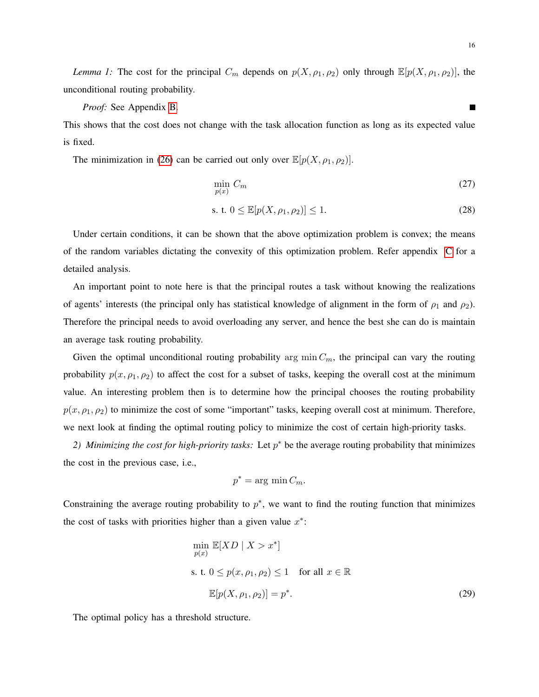*Lemma 1:* The cost for the principal  $C_m$  depends on  $p(X, \rho_1, \rho_2)$  only through  $\mathbb{E}[p(X, \rho_1, \rho_2)]$ , the unconditional routing probability.

*Proof:* See Appendix [B.](#page-24-0)

This shows that the cost does not change with the task allocation function as long as its expected value is fixed.

The minimization in [\(26\)](#page-15-0) can be carried out only over  $\mathbb{E}[p(X, \rho_1, \rho_2)].$ 

$$
\min_{p(x)} C_m \tag{27}
$$

$$
\text{s. t. } 0 \le \mathbb{E}[p(X, \rho_1, \rho_2)] \le 1. \tag{28}
$$

Under certain conditions, it can be shown that the above optimization problem is convex; the means of the random variables dictating the convexity of this optimization problem. Refer appendix [C](#page-26-0) for a detailed analysis.

An important point to note here is that the principal routes a task without knowing the realizations of agents' interests (the principal only has statistical knowledge of alignment in the form of  $\rho_1$  and  $\rho_2$ ). Therefore the principal needs to avoid overloading any server, and hence the best she can do is maintain an average task routing probability.

Given the optimal unconditional routing probability arg  $\min C_m$ , the principal can vary the routing probability  $p(x, \rho_1, \rho_2)$  to affect the cost for a subset of tasks, keeping the overall cost at the minimum value. An interesting problem then is to determine how the principal chooses the routing probability  $p(x, \rho_1, \rho_2)$  to minimize the cost of some "important" tasks, keeping overall cost at minimum. Therefore, we next look at finding the optimal routing policy to minimize the cost of certain high-priority tasks.

2) Minimizing the cost for high-priority tasks: Let p<sup>\*</sup> be the average routing probability that minimizes the cost in the previous case, i.e.,

<span id="page-16-0"></span>
$$
p^* = \arg\,\min C_m.
$$

Constraining the average routing probability to  $p^*$ , we want to find the routing function that minimizes the cost of tasks with priorities higher than a given value  $x^*$ :

<span id="page-16-1"></span>
$$
\min_{p(x)} \mathbb{E}[XD \mid X > x^*]
$$
\n
$$
\text{s. t. } 0 \le p(x, \rho_1, \rho_2) \le 1 \quad \text{for all } x \in \mathbb{R}
$$
\n
$$
\mathbb{E}[p(X, \rho_1, \rho_2)] = p^*.
$$
\n
$$
(29)
$$

The optimal policy has a threshold structure.

 $\blacksquare$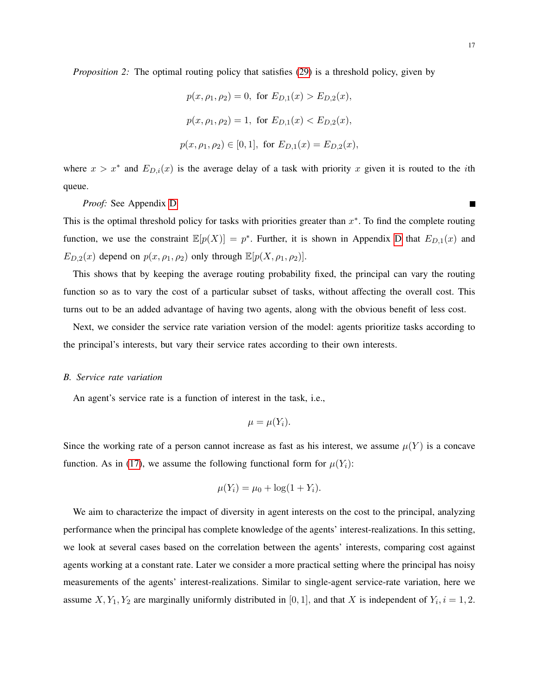*Proposition 2:* The optimal routing policy that satisfies [\(29\)](#page-16-0) is a threshold policy, given by

$$
p(x, \rho_1, \rho_2) = 0, \text{ for } E_{D,1}(x) > E_{D,2}(x),
$$
  

$$
p(x, \rho_1, \rho_2) = 1, \text{ for } E_{D,1}(x) < E_{D,2}(x),
$$
  

$$
p(x, \rho_1, \rho_2) \in [0, 1], \text{ for } E_{D,1}(x) = E_{D,2}(x),
$$

where  $x > x^*$  and  $E_{D,i}(x)$  is the average delay of a task with priority x given it is routed to the ith queue.

*Proof:* See Appendix [D.](#page-28-0)

This is the optimal threshold policy for tasks with priorities greater than  $x^*$ . To find the complete routing function, we use the constraint  $\mathbb{E}[p(X)] = p^*$ . Further, it is shown in Appendix [D](#page-28-0) that  $E_{D,1}(x)$  and  $E_{D,2}(x)$  depend on  $p(x, \rho_1, \rho_2)$  only through  $\mathbb{E}[p(X, \rho_1, \rho_2)]$ .

This shows that by keeping the average routing probability fixed, the principal can vary the routing function so as to vary the cost of a particular subset of tasks, without affecting the overall cost. This turns out to be an added advantage of having two agents, along with the obvious benefit of less cost.

Next, we consider the service rate variation version of the model: agents prioritize tasks according to the principal's interests, but vary their service rates according to their own interests.

## *B. Service rate variation*

An agent's service rate is a function of interest in the task, i.e.,

$$
\mu=\mu(Y_i).
$$

Since the working rate of a person cannot increase as fast as his interest, we assume  $\mu(Y)$  is a concave function. As in [\(17\)](#page-11-1), we assume the following functional form for  $\mu(Y_i)$ :

$$
\mu(Y_i) = \mu_0 + \log(1 + Y_i).
$$

We aim to characterize the impact of diversity in agent interests on the cost to the principal, analyzing performance when the principal has complete knowledge of the agents' interest-realizations. In this setting, we look at several cases based on the correlation between the agents' interests, comparing cost against agents working at a constant rate. Later we consider a more practical setting where the principal has noisy measurements of the agents' interest-realizations. Similar to single-agent service-rate variation, here we assume  $X, Y_1, Y_2$  are marginally uniformly distributed in [0, 1], and that X is independent of  $Y_i, i = 1, 2$ .

 $\blacksquare$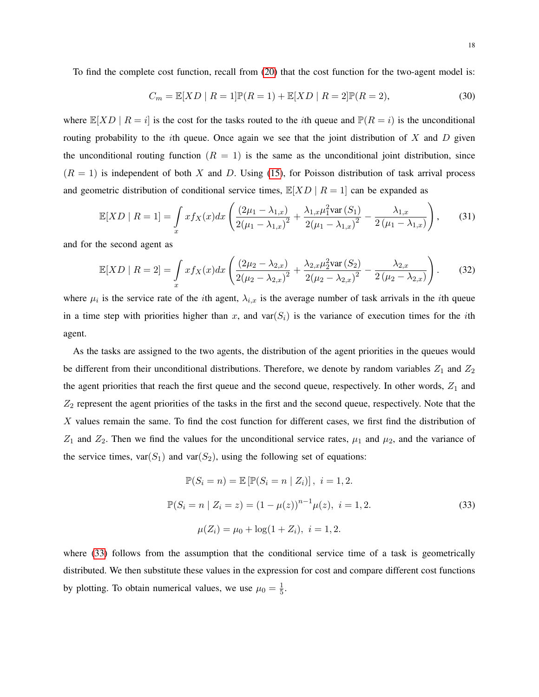To find the complete cost function, recall from [\(20\)](#page-14-0) that the cost function for the two-agent model is:

<span id="page-18-2"></span><span id="page-18-1"></span>
$$
C_m = \mathbb{E}[XD \mid R = 1] \mathbb{P}(R = 1) + \mathbb{E}[XD \mid R = 2] \mathbb{P}(R = 2),
$$
\n(30)

where  $\mathbb{E}[XD \mid R = i]$  is the cost for the tasks routed to the *i*th queue and  $\mathbb{P}(R = i)$  is the unconditional routing probability to the *i*th queue. Once again we see that the joint distribution of  $X$  and  $D$  given the unconditional routing function  $(R = 1)$  is the same as the unconditional joint distribution, since  $(R = 1)$  is independent of both X and D. Using [\(15\)](#page-10-3), for Poisson distribution of task arrival process and geometric distribution of conditional service times,  $\mathbb{E}[XD \mid R = 1]$  can be expanded as

$$
\mathbb{E}[XD \mid R=1] = \int_x x f_X(x) dx \left( \frac{(2\mu_1 - \lambda_{1,x})}{2(\mu_1 - \lambda_{1,x})^2} + \frac{\lambda_{1,x} \mu_1^2 \text{var}(S_1)}{2(\mu_1 - \lambda_{1,x})^2} - \frac{\lambda_{1,x}}{2(\mu_1 - \lambda_{1,x})} \right), \tag{31}
$$

and for the second agent as

$$
\mathbb{E}[XD \mid R=2] = \int_x x f_X(x) dx \left( \frac{(2\mu_2 - \lambda_{2,x})}{2(\mu_2 - \lambda_{2,x})^2} + \frac{\lambda_{2,x} \mu_2^2 \text{var}(S_2)}{2(\mu_2 - \lambda_{2,x})^2} - \frac{\lambda_{2,x}}{2(\mu_2 - \lambda_{2,x})} \right). \tag{32}
$$

where  $\mu_i$  is the service rate of the *i*th agent,  $\lambda_{i,x}$  is the average number of task arrivals in the *i*th queue in a time step with priorities higher than x, and  $var(S_i)$  is the variance of execution times for the *i*th agent.

As the tasks are assigned to the two agents, the distribution of the agent priorities in the queues would be different from their unconditional distributions. Therefore, we denote by random variables  $Z_1$  and  $Z_2$ the agent priorities that reach the first queue and the second queue, respectively. In other words,  $Z_1$  and  $Z_2$  represent the agent priorities of the tasks in the first and the second queue, respectively. Note that the  $X$  values remain the same. To find the cost function for different cases, we first find the distribution of  $Z_1$  and  $Z_2$ . Then we find the values for the unconditional service rates,  $\mu_1$  and  $\mu_2$ , and the variance of the service times,  $var(S_1)$  and  $var(S_2)$ , using the following set of equations:

<span id="page-18-0"></span>
$$
\mathbb{P}(S_i = n) = \mathbb{E} [\mathbb{P}(S_i = n | Z_i)], \ i = 1, 2.
$$
  

$$
\mathbb{P}(S_i = n | Z_i = z) = (1 - \mu(z))^{n-1} \mu(z), \ i = 1, 2.
$$
  

$$
\mu(Z_i) = \mu_0 + \log(1 + Z_i), \ i = 1, 2.
$$
 (33)

where [\(33\)](#page-18-0) follows from the assumption that the conditional service time of a task is geometrically distributed. We then substitute these values in the expression for cost and compare different cost functions by plotting. To obtain numerical values, we use  $\mu_0 = \frac{1}{5}$  $\frac{1}{5}$ .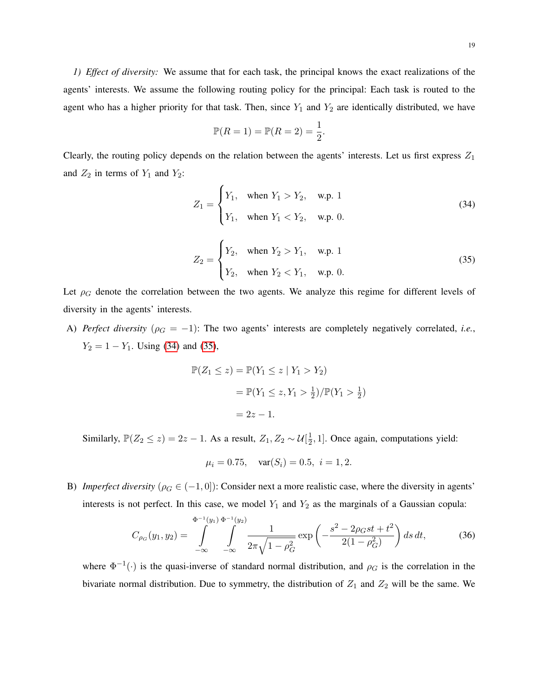*1) Effect of diversity:* We assume that for each task, the principal knows the exact realizations of the agents' interests. We assume the following routing policy for the principal: Each task is routed to the agent who has a higher priority for that task. Then, since  $Y_1$  and  $Y_2$  are identically distributed, we have

<span id="page-19-0"></span>
$$
\mathbb{P}(R = 1) = \mathbb{P}(R = 2) = \frac{1}{2}.
$$

Clearly, the routing policy depends on the relation between the agents' interests. Let us first express  $Z_1$ and  $Z_2$  in terms of  $Y_1$  and  $Y_2$ :

$$
Z_1 = \begin{cases} Y_1, & \text{when } Y_1 > Y_2, \quad \text{w.p. 1} \\ Y_1, & \text{when } Y_1 < Y_2, \quad \text{w.p. 0.} \end{cases}
$$
 (34)

<span id="page-19-1"></span>
$$
Z_2 = \begin{cases} Y_2, & \text{when } Y_2 > Y_1, \quad \text{w.p. 1} \\ Y_2, & \text{when } Y_2 < Y_1, \quad \text{w.p. 0.} \end{cases}
$$
 (35)

Let  $\rho_G$  denote the correlation between the two agents. We analyze this regime for different levels of diversity in the agents' interests.

A) *Perfect diversity* ( $\rho_G = -1$ ): The two agents' interests are completely negatively correlated, *i.e.*,  $Y_2 = 1 - Y_1$ . Using [\(34\)](#page-19-0) and [\(35\)](#page-19-1),

$$
\mathbb{P}(Z_1 \le z) = \mathbb{P}(Y_1 \le z \mid Y_1 > Y_2)
$$
  
=  $\mathbb{P}(Y_1 \le z, Y_1 > \frac{1}{2}) / \mathbb{P}(Y_1 > \frac{1}{2})$   
= 2z - 1.

Similarly,  $\mathbb{P}(Z_2 \leq z) = 2z - 1$ . As a result,  $Z_1, Z_2 \sim \mathcal{U}[\frac{1}{2}]$  $\frac{1}{2}$ , 1]. Once again, computations yield:

<span id="page-19-2"></span>
$$
\mu_i = 0.75
$$
,  $\text{var}(S_i) = 0.5$ ,  $i = 1, 2$ .

B) *Imperfect diversity* ( $\rho_G \in (-1, 0]$ ): Consider next a more realistic case, where the diversity in agents' interests is not perfect. In this case, we model  $Y_1$  and  $Y_2$  as the marginals of a Gaussian copula:

$$
C_{\rho_G}(y_1, y_2) = \int_{-\infty}^{\Phi^{-1}(y_1)} \int_{-\infty}^{\Phi^{-1}(y_2)} \frac{1}{2\pi\sqrt{1-\rho_G^2}} \exp\left(-\frac{s^2 - 2\rho_G st + t^2}{2(1-\rho_G^2)}\right) ds dt, \tag{36}
$$

where  $\Phi^{-1}(\cdot)$  is the quasi-inverse of standard normal distribution, and  $\rho_G$  is the correlation in the bivariate normal distribution. Due to symmetry, the distribution of  $Z_1$  and  $Z_2$  will be the same. We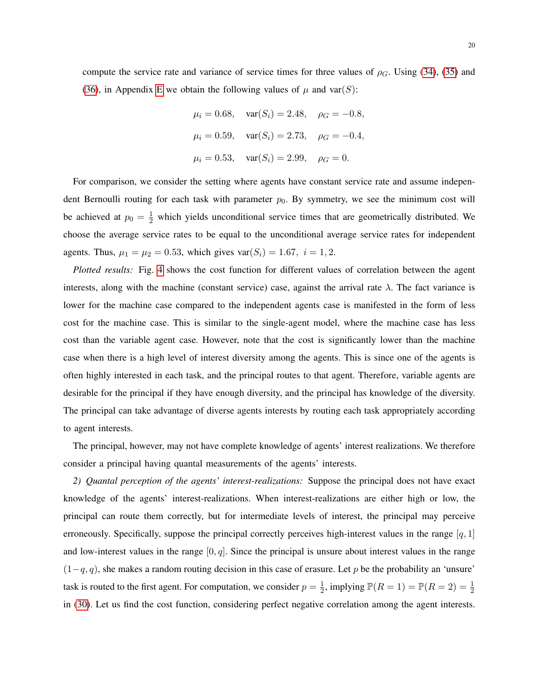compute the service rate and variance of service times for three values of  $\rho_G$ . Using [\(34\)](#page-19-0), [\(35\)](#page-19-1) and [\(36\)](#page-19-2), in Appendix [E](#page-30-0) we obtain the following values of  $\mu$  and var $(S)$ :

$$
\mu_i = 0.68
$$
,  $\text{var}(S_i) = 2.48$ ,  $\rho_G = -0.8$ ,  
\n $\mu_i = 0.59$ ,  $\text{var}(S_i) = 2.73$ ,  $\rho_G = -0.4$ ,  
\n $\mu_i = 0.53$ ,  $\text{var}(S_i) = 2.99$ ,  $\rho_G = 0$ .

For comparison, we consider the setting where agents have constant service rate and assume independent Bernoulli routing for each task with parameter  $p_0$ . By symmetry, we see the minimum cost will be achieved at  $p_0 = \frac{1}{2}$  which yields unconditional service times that are geometrically distributed. We choose the average service rates to be equal to the unconditional average service rates for independent agents. Thus,  $\mu_1 = \mu_2 = 0.53$ , which gives  $var(S_i) = 1.67$ ,  $i = 1, 2$ .

*Plotted results:* Fig. [4](#page-21-0) shows the cost function for different values of correlation between the agent interests, along with the machine (constant service) case, against the arrival rate  $\lambda$ . The fact variance is lower for the machine case compared to the independent agents case is manifested in the form of less cost for the machine case. This is similar to the single-agent model, where the machine case has less cost than the variable agent case. However, note that the cost is significantly lower than the machine case when there is a high level of interest diversity among the agents. This is since one of the agents is often highly interested in each task, and the principal routes to that agent. Therefore, variable agents are desirable for the principal if they have enough diversity, and the principal has knowledge of the diversity. The principal can take advantage of diverse agents interests by routing each task appropriately according to agent interests.

The principal, however, may not have complete knowledge of agents' interest realizations. We therefore consider a principal having quantal measurements of the agents' interests.

*2) Quantal perception of the agents' interest-realizations:* Suppose the principal does not have exact knowledge of the agents' interest-realizations. When interest-realizations are either high or low, the principal can route them correctly, but for intermediate levels of interest, the principal may perceive erroneously. Specifically, suppose the principal correctly perceives high-interest values in the range  $[q, 1]$ and low-interest values in the range  $[0, q]$ . Since the principal is unsure about interest values in the range  $(1-q, q)$ , she makes a random routing decision in this case of erasure. Let p be the probability an 'unsure' task is routed to the first agent. For computation, we consider  $p = \frac{1}{2}$  $\frac{1}{2}$ , implying  $\mathbb{P}(R=1) = \mathbb{P}(R=2) = \frac{1}{2}$ in [\(30\)](#page-18-1). Let us find the cost function, considering perfect negative correlation among the agent interests.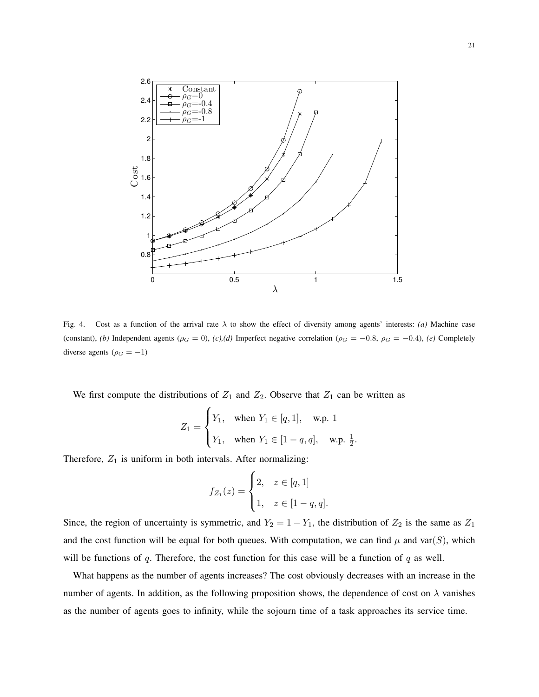

<span id="page-21-0"></span>Fig. 4. Cost as a function of the arrival rate  $\lambda$  to show the effect of diversity among agents' interests: *(a)* Machine case (constant), *(b)* Independent agents ( $\rho_G = 0$ ), *(c),(d)* Imperfect negative correlation ( $\rho_G = -0.8$ ,  $\rho_G = -0.4$ ), *(e)* Completely diverse agents ( $\rho_G = -1$ )

We first compute the distributions of  $Z_1$  and  $Z_2$ . Observe that  $Z_1$  can be written as

$$
Z_1 = \begin{cases} Y_1, & \text{when } Y_1 \in [q, 1], \text{ w.p. 1} \\ Y_1, & \text{when } Y_1 \in [1 - q, q], \text{ w.p. } \frac{1}{2}. \end{cases}
$$

Therefore,  $Z_1$  is uniform in both intervals. After normalizing:

<span id="page-21-1"></span>
$$
f_{Z_1}(z) = \begin{cases} 2, & z \in [q, 1] \\ 1, & z \in [1-q, q]. \end{cases}
$$

Since, the region of uncertainty is symmetric, and  $Y_2 = 1 - Y_1$ , the distribution of  $Z_2$  is the same as  $Z_1$ and the cost function will be equal for both queues. With computation, we can find  $\mu$  and var(S), which will be functions of  $q$ . Therefore, the cost function for this case will be a function of  $q$  as well.

What happens as the number of agents increases? The cost obviously decreases with an increase in the number of agents. In addition, as the following proposition shows, the dependence of cost on  $\lambda$  vanishes as the number of agents goes to infinity, while the sojourn time of a task approaches its service time.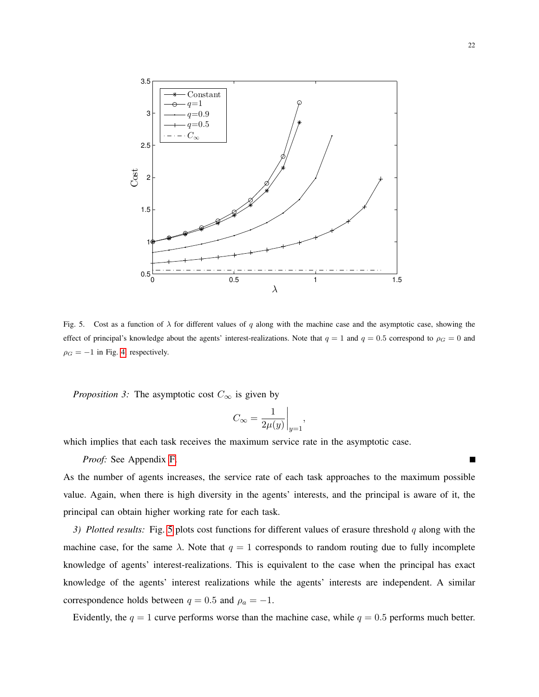

<span id="page-22-0"></span>Fig. 5. Cost as a function of  $\lambda$  for different values of q along with the machine case and the asymptotic case, showing the effect of principal's knowledge about the agents' interest-realizations. Note that  $q = 1$  and  $q = 0.5$  correspond to  $\rho_G = 0$  and  $\rho_G = -1$  in Fig. [4,](#page-21-0) respectively.

*Proposition 3:* The asymptotic cost  $C_{\infty}$  is given by

$$
C_{\infty} = \frac{1}{2\mu(y)} \bigg|_{y=1},
$$

which implies that each task receives the maximum service rate in the asymptotic case.

*Proof:* See Appendix [F.](#page-31-0)

As the number of agents increases, the service rate of each task approaches to the maximum possible value. Again, when there is high diversity in the agents' interests, and the principal is aware of it, the principal can obtain higher working rate for each task.

*3) Plotted results:* Fig. [5](#page-22-0) plots cost functions for different values of erasure threshold q along with the machine case, for the same  $\lambda$ . Note that  $q = 1$  corresponds to random routing due to fully incomplete knowledge of agents' interest-realizations. This is equivalent to the case when the principal has exact knowledge of the agents' interest realizations while the agents' interests are independent. A similar correspondence holds between  $q = 0.5$  and  $\rho_a = -1$ .

Evidently, the  $q = 1$  curve performs worse than the machine case, while  $q = 0.5$  performs much better.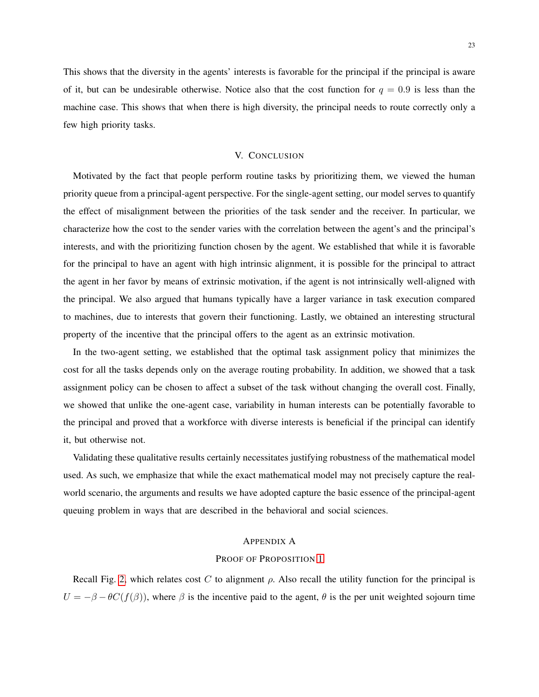This shows that the diversity in the agents' interests is favorable for the principal if the principal is aware of it, but can be undesirable otherwise. Notice also that the cost function for  $q = 0.9$  is less than the machine case. This shows that when there is high diversity, the principal needs to route correctly only a few high priority tasks.

# V. CONCLUSION

Motivated by the fact that people perform routine tasks by prioritizing them, we viewed the human priority queue from a principal-agent perspective. For the single-agent setting, our model serves to quantify the effect of misalignment between the priorities of the task sender and the receiver. In particular, we characterize how the cost to the sender varies with the correlation between the agent's and the principal's interests, and with the prioritizing function chosen by the agent. We established that while it is favorable for the principal to have an agent with high intrinsic alignment, it is possible for the principal to attract the agent in her favor by means of extrinsic motivation, if the agent is not intrinsically well-aligned with the principal. We also argued that humans typically have a larger variance in task execution compared to machines, due to interests that govern their functioning. Lastly, we obtained an interesting structural property of the incentive that the principal offers to the agent as an extrinsic motivation.

In the two-agent setting, we established that the optimal task assignment policy that minimizes the cost for all the tasks depends only on the average routing probability. In addition, we showed that a task assignment policy can be chosen to affect a subset of the task without changing the overall cost. Finally, we showed that unlike the one-agent case, variability in human interests can be potentially favorable to the principal and proved that a workforce with diverse interests is beneficial if the principal can identify it, but otherwise not.

Validating these qualitative results certainly necessitates justifying robustness of the mathematical model used. As such, we emphasize that while the exact mathematical model may not precisely capture the realworld scenario, the arguments and results we have adopted capture the basic essence of the principal-agent queuing problem in ways that are described in the behavioral and social sciences.

# <span id="page-23-0"></span>APPENDIX A

# PROOF OF PROPOSITION [1](#page-13-0)

Recall Fig. [2,](#page-10-0) which relates cost C to alignment  $\rho$ . Also recall the utility function for the principal is  $U = -\beta - \theta C(f(\beta))$ , where  $\beta$  is the incentive paid to the agent,  $\theta$  is the per unit weighted sojourn time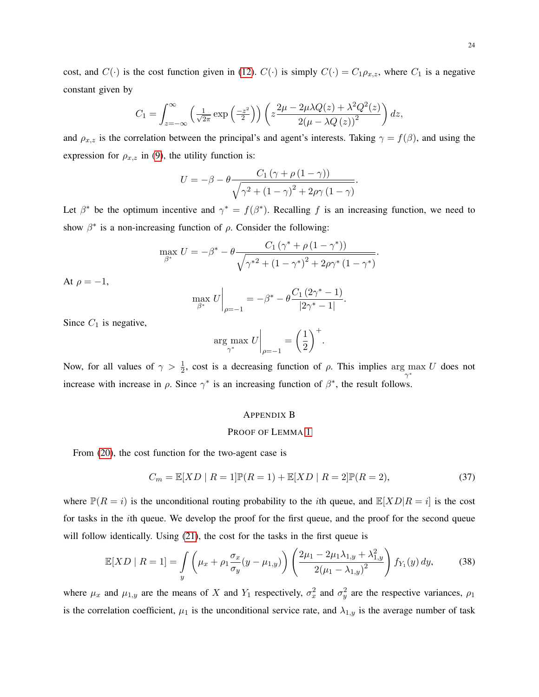cost, and  $C(\cdot)$  is the cost function given in [\(12\)](#page-8-0).  $C(\cdot)$  is simply  $C(\cdot) = C_1 \rho_{x,z}$ , where  $C_1$  is a negative constant given by

$$
C_1 = \int_{z=-\infty}^{\infty} \left( \frac{1}{\sqrt{2\pi}} \exp\left(\frac{-z^2}{2}\right) \right) \left( z \frac{2\mu - 2\mu\lambda Q(z) + \lambda^2 Q^2(z)}{2(\mu - \lambda Q(z))^2} \right) dz,
$$

and  $\rho_{x,z}$  is the correlation between the principal's and agent's interests. Taking  $\gamma = f(\beta)$ , and using the expression for  $\rho_{x,z}$  in [\(9\)](#page-7-4), the utility function is:

$$
U = -\beta - \theta \frac{C_1(\gamma + \rho(1 - \gamma))}{\sqrt{\gamma^2 + (1 - \gamma)^2 + 2\rho\gamma(1 - \gamma)}}.
$$

Let  $\beta^*$  be the optimum incentive and  $\gamma^* = f(\beta^*)$ . Recalling f is an increasing function, we need to show  $\beta^*$  is a non-increasing function of  $\rho$ . Consider the following:

$$
\max_{\beta^*} U = -\beta^* - \theta \frac{C_1 (\gamma^* + \rho (1 - \gamma^*))}{\sqrt{\gamma^{*2} + (1 - \gamma^*)^2 + 2\rho \gamma^* (1 - \gamma^*)}}
$$

.

At  $\rho = -1$ ,

$$
\max_{\beta^*} U \bigg|_{\rho=-1} = -\beta^* - \theta \frac{C_1 (2\gamma^* - 1)}{|2\gamma^* - 1|}.
$$

Since  $C_1$  is negative,

$$
\arg\max_{\gamma^*} U\bigg|_{\rho=-1} = \left(\frac{1}{2}\right)^+
$$

Now, for all values of  $\gamma > \frac{1}{2}$ , cost is a decreasing function of  $\rho$ . This implies  $\argmax_{\gamma^*} U$  does not increase with increase in  $\rho$ . Since  $\gamma^*$  is an increasing function of  $\beta^*$ , the result follows.

## <span id="page-24-0"></span>APPENDIX B

## PROOF OF LEMMA [1](#page-15-1)

From [\(20\)](#page-14-0), the cost function for the two-agent case is

$$
C_m = \mathbb{E}[XD \mid R = 1] \mathbb{P}(R = 1) + \mathbb{E}[XD \mid R = 2] \mathbb{P}(R = 2), \tag{37}
$$

.

where  $\mathbb{P}(R = i)$  is the unconditional routing probability to the *i*th queue, and  $\mathbb{E}[XD|R = i]$  is the cost for tasks in the ith queue. We develop the proof for the first queue, and the proof for the second queue will follow identically. Using [\(21\)](#page-15-2), the cost for the tasks in the first queue is

$$
\mathbb{E}[XD \mid R = 1] = \int_{y} \left( \mu_x + \rho_1 \frac{\sigma_x}{\sigma_y} (y - \mu_{1,y}) \right) \left( \frac{2\mu_1 - 2\mu_1 \lambda_{1,y} + \lambda_{1,y}^2}{2(\mu_1 - \lambda_{1,y})^2} \right) f_{Y_1}(y) \, dy, \tag{38}
$$

where  $\mu_x$  and  $\mu_{1,y}$  are the means of X and Y<sub>1</sub> respectively,  $\sigma_x^2$  and  $\sigma_y^2$  are the respective variances,  $\rho_1$ is the correlation coefficient,  $\mu_1$  is the unconditional service rate, and  $\lambda_{1,y}$  is the average number of task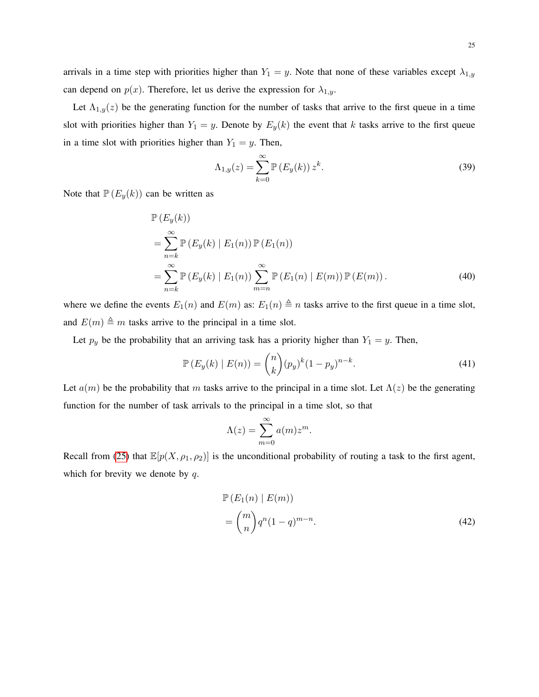arrivals in a time step with priorities higher than  $Y_1 = y$ . Note that none of these variables except  $\lambda_{1,y}$ can depend on  $p(x)$ . Therefore, let us derive the expression for  $\lambda_{1,y}$ .

Let  $\Lambda_{1,y}(z)$  be the generating function for the number of tasks that arrive to the first queue in a time slot with priorities higher than  $Y_1 = y$ . Denote by  $E_y(k)$  the event that k tasks arrive to the first queue in a time slot with priorities higher than  $Y_1 = y$ . Then,

<span id="page-25-3"></span><span id="page-25-0"></span>
$$
\Lambda_{1,y}(z) = \sum_{k=0}^{\infty} \mathbb{P}\left(E_y(k)\right) z^k.
$$
\n(39)

Note that  $\mathbb{P}(E_y(k))$  can be written as

$$
\mathbb{P}\left(E_y(k)\right)
$$
\n
$$
= \sum_{n=k}^{\infty} \mathbb{P}\left(E_y(k) \mid E_1(n)\right) \mathbb{P}\left(E_1(n)\right)
$$
\n
$$
= \sum_{n=k}^{\infty} \mathbb{P}\left(E_y(k) \mid E_1(n)\right) \sum_{m=n}^{\infty} \mathbb{P}\left(E_1(n) \mid E(m)\right) \mathbb{P}\left(E(m)\right). \tag{40}
$$

where we define the events  $E_1(n)$  and  $E(m)$  as:  $E_1(n) \triangleq n$  tasks arrive to the first queue in a time slot, and  $E(m) \triangleq m$  tasks arrive to the principal in a time slot.

Let  $p_y$  be the probability that an arriving task has a priority higher than  $Y_1 = y$ . Then,

<span id="page-25-1"></span>
$$
\mathbb{P}\left(E_y(k) \mid E(n)\right) = \binom{n}{k} (p_y)^k (1 - p_y)^{n-k}.\tag{41}
$$

Let  $a(m)$  be the probability that m tasks arrive to the principal in a time slot. Let  $\Lambda(z)$  be the generating function for the number of task arrivals to the principal in a time slot, so that

$$
\Lambda(z) = \sum_{m=0}^{\infty} a(m) z^m.
$$

Recall from [\(25\)](#page-15-3) that  $\mathbb{E}[p(X, \rho_1, \rho_2)]$  is the unconditional probability of routing a task to the first agent, which for brevity we denote by  $q$ .

<span id="page-25-2"></span>
$$
\mathbb{P}\left(E_1(n) \mid E(m)\right)
$$

$$
= {m \choose n} q^n (1-q)^{m-n}.
$$
 (42)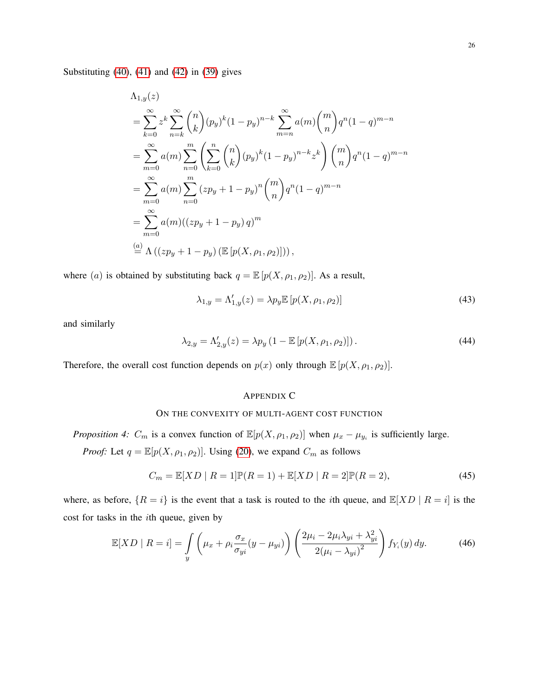Substituting  $(40)$ ,  $(41)$  and  $(42)$  in  $(39)$  gives

$$
\Lambda_{1,y}(z) \n= \sum_{k=0}^{\infty} z^k \sum_{n=k}^{\infty} {n \choose k} (p_y)^k (1-p_y)^{n-k} \sum_{m=n}^{\infty} a(m) {m \choose n} q^n (1-q)^{m-n} \n= \sum_{m=0}^{\infty} a(m) \sum_{n=0}^m \left( \sum_{k=0}^n {n \choose k} (p_y)^k (1-p_y)^{n-k} z^k \right) {m \choose n} q^n (1-q)^{m-n} \n= \sum_{m=0}^{\infty} a(m) \sum_{n=0}^m (zp_y + 1 - py)^n {m \choose n} q^n (1-q)^{m-n} \n= \sum_{m=0}^{\infty} a(m) ((zp_y + 1 - py) q)^m \n= \Lambda ((zp_y + 1 - py) (\mathbb{E}[p(X, \rho_1, \rho_2)])),
$$

where (a) is obtained by substituting back  $q = \mathbb{E}[p(X, \rho_1, \rho_2)]$ . As a result,

$$
\lambda_{1,y} = \Lambda'_{1,y}(z) = \lambda p_y \mathbb{E}\left[p(X,\rho_1,\rho_2)\right]
$$
\n(43)

and similarly

$$
\lambda_{2,y} = \Lambda'_{2,y}(z) = \lambda p_y \left(1 - \mathbb{E}\left[p(X, \rho_1, \rho_2)\right]\right). \tag{44}
$$

Therefore, the overall cost function depends on  $p(x)$  only through  $\mathbb{E}[p(X, \rho_1, \rho_2)].$ 

# <span id="page-26-2"></span><span id="page-26-1"></span>APPENDIX C

## ON THE CONVEXITY OF MULTI-AGENT COST FUNCTION

<span id="page-26-0"></span>*Proposition 4:*  $C_m$  is a convex function of  $\mathbb{E}[p(X, \rho_1, \rho_2)]$  when  $\mu_x - \mu_{y_i}$  is sufficiently large.

*Proof:* Let  $q = \mathbb{E}[p(X, \rho_1, \rho_2)]$ . Using [\(20\)](#page-14-0), we expand  $C_m$  as follows

$$
C_m = \mathbb{E}[XD \mid R = 1] \mathbb{P}(R = 1) + \mathbb{E}[XD \mid R = 2] \mathbb{P}(R = 2),\tag{45}
$$

where, as before,  $\{R = i\}$  is the event that a task is routed to the *i*th queue, and  $\mathbb{E}[XD \mid R = i]$  is the cost for tasks in the ith queue, given by

$$
\mathbb{E}[XD \mid R = i] = \int\limits_{y} \left( \mu_x + \rho_i \frac{\sigma_x}{\sigma_{yi}} (y - \mu_{yi}) \right) \left( \frac{2\mu_i - 2\mu_i \lambda_{yi} + \lambda_{yi}^2}{2(\mu_i - \lambda_{yi})^2} \right) f_{Y_i}(y) \, dy. \tag{46}
$$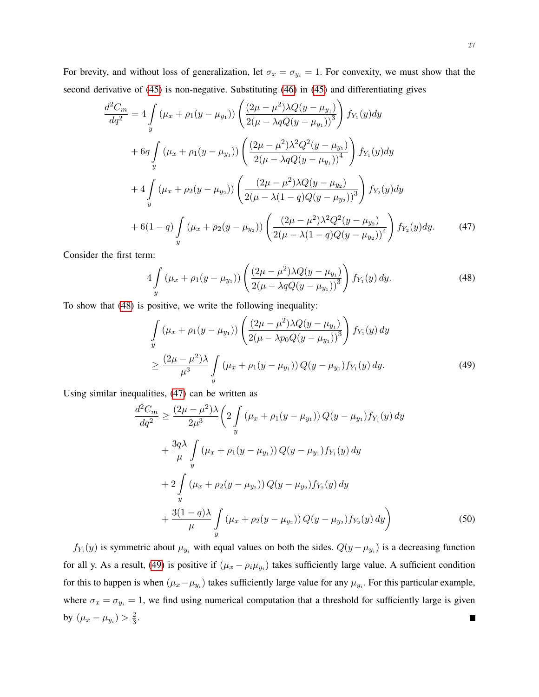For brevity, and without loss of generalization, let  $\sigma_x = \sigma_{y_i} = 1$ . For convexity, we must show that the second derivative of [\(45\)](#page-26-1) is non-negative. Substituting [\(46\)](#page-26-2) in [\(45\)](#page-26-1) and differentiating gives

$$
\frac{d^2C_m}{dq^2} = 4 \int_{y} (\mu_x + \rho_1(y - \mu_{y_1})) \left( \frac{(2\mu - \mu^2) \lambda Q(y - \mu_{y_1})}{2(\mu - \lambda q Q(y - \mu_{y_1}))^3} \right) f_{Y_1}(y) dy
$$
  
+  $6q \int_{y} (\mu_x + \rho_1(y - \mu_{y_1})) \left( \frac{(2\mu - \mu^2) \lambda^2 Q^2 (y - \mu_{y_1})}{2(\mu - \lambda q Q(y - \mu_{y_1}))^4} \right) f_{Y_1}(y) dy$   
+  $4 \int_{y} (\mu_x + \rho_2(y - \mu_{y_2})) \left( \frac{(2\mu - \mu^2) \lambda Q (y - \mu_{y_2})}{2(\mu - \lambda (1 - q) Q(y - \mu_{y_2}))^3} \right) f_{Y_2}(y) dy$   
+  $6(1-q) \int_{y} (\mu_x + \rho_2(y - \mu_{y_2})) \left( \frac{(2\mu - \mu^2) \lambda^2 Q^2 (y - \mu_{y_2})}{2(\mu - \lambda (1 - q) Q(y - \mu_{y_2}))^4} \right) f_{Y_2}(y) dy.$  (47)

Consider the first term:

<span id="page-27-1"></span><span id="page-27-0"></span>
$$
4\int\limits_{y} \left(\mu_x + \rho_1(y - \mu_{y_1})\right) \left(\frac{(2\mu - \mu^2)\lambda Q(y - \mu_{y_1})}{2(\mu - \lambda qQ(y - \mu_{y_1}))^3}\right) f_{Y_1}(y) \, dy. \tag{48}
$$

To show that [\(48\)](#page-27-0) is positive, we write the following inequality:

<span id="page-27-2"></span>
$$
\int_{y} (\mu_x + \rho_1(y - \mu_{y_1})) \left( \frac{(2\mu - \mu^2) \lambda Q(y - \mu_{y_1})}{2(\mu - \lambda p_0 Q(y - \mu_{y_1}))^3} \right) f_{Y_1}(y) dy
$$
\n
$$
\geq \frac{(2\mu - \mu^2) \lambda}{\mu^3} \int_{y} (\mu_x + \rho_1(y - \mu_{y_1})) Q(y - \mu_{y_1}) f_{Y_1}(y) dy.
$$
\n(49)

Using similar inequalities, [\(47\)](#page-27-1) can be written as

$$
\frac{d^2C_m}{dq^2} \ge \frac{(2\mu - \mu^2)\lambda}{2\mu^3} \left( 2 \int_y (\mu_x + \rho_1(y - \mu_{y_1})) Q(y - \mu_{y_1}) f_{Y_1}(y) dy + \frac{3q\lambda}{\mu} \int_y (\mu_x + \rho_1(y - \mu_{y_1})) Q(y - \mu_{y_1}) f_{Y_1}(y) dy + 2 \int_y (\mu_x + \rho_2(y - \mu_{y_2})) Q(y - \mu_{y_2}) f_{Y_2}(y) dy + \frac{3(1-q)\lambda}{\mu} \int_y (\mu_x + \rho_2(y - \mu_{y_2})) Q(y - \mu_{y_2}) f_{Y_2}(y) dy \right)
$$
(50)

 $f_{Y_i}(y)$  is symmetric about  $\mu_{y_i}$  with equal values on both the sides.  $Q(y - \mu_{y_i})$  is a decreasing function for all y. As a result, [\(49\)](#page-27-2) is positive if  $(\mu_x - \rho_i \mu_{y_i})$  takes sufficiently large value. A sufficient condition for this to happen is when  $(\mu_x - \mu_{y_i})$  takes sufficiently large value for any  $\mu_{y_i}$ . For this particular example, where  $\sigma_x = \sigma_{y_i} = 1$ , we find using numerical computation that a threshold for sufficiently large is given by  $(\mu_x - \mu_{y_i}) > \frac{2}{3}$  $\frac{2}{3}$ . ٠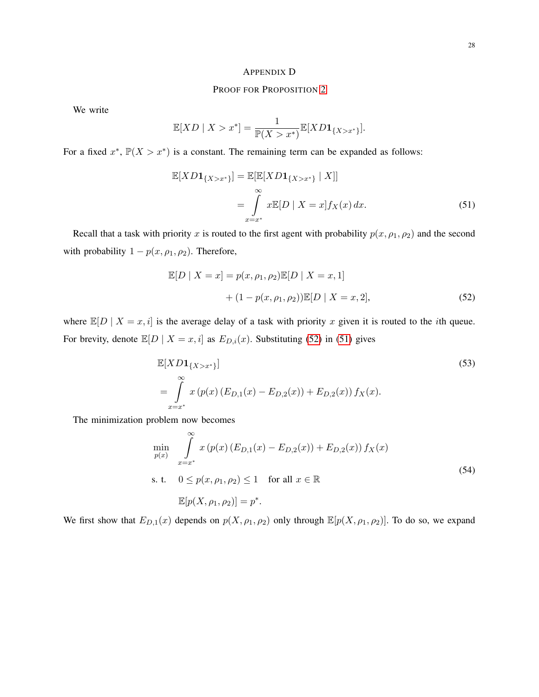# <span id="page-28-2"></span><span id="page-28-0"></span>APPENDIX D

# PROOF FOR PROPOSITION [2](#page-16-1)

We write

$$
\mathbb{E}[XD \mid X > x^*] = \frac{1}{\mathbb{P}(X > x^*)} \mathbb{E}[XD\mathbf{1}_{\{X > x^*\}}].
$$

For a fixed  $x^*$ ,  $\mathbb{P}(X > x^*)$  is a constant. The remaining term can be expanded as follows:

$$
\mathbb{E}[XD1_{\{X>x^*\}}] = \mathbb{E}[\mathbb{E}[XD1_{\{X>x^*\}} | X]]
$$

$$
= \int_{x=x^*}^{\infty} x \mathbb{E}[D | X = x] f_X(x) dx.
$$
 (51)

Recall that a task with priority x is routed to the first agent with probability  $p(x, \rho_1, \rho_2)$  and the second with probability  $1 - p(x, \rho_1, \rho_2)$ . Therefore,

<span id="page-28-1"></span>
$$
\mathbb{E}[D \mid X = x] = p(x, \rho_1, \rho_2) \mathbb{E}[D \mid X = x, 1] + (1 - p(x, \rho_1, \rho_2)) \mathbb{E}[D \mid X = x, 2],
$$
\n(52)

where  $\mathbb{E}[D \mid X = x, i]$  is the average delay of a task with priority x given it is routed to the *i*th queue. For brevity, denote  $\mathbb{E}[D \mid X = x, i]$  as  $E_{D,i}(x)$ . Substituting [\(52\)](#page-28-1) in [\(51\)](#page-28-2) gives

$$
\mathbb{E}[XD1_{\{X>x^*\}}]
$$
\n
$$
= \int_{x=x^*}^{\infty} x(p(x) (E_{D,1}(x) - E_{D,2}(x)) + E_{D,2}(x)) f_X(x).
$$
\n(53)

The minimization problem now becomes

<span id="page-28-3"></span>
$$
\min_{p(x)} \int_{x=x^*}^{\infty} x (p(x) (E_{D,1}(x) - E_{D,2}(x)) + E_{D,2}(x)) f_X(x)
$$
\n
$$
\text{s. t.} \quad 0 \le p(x, \rho_1, \rho_2) \le 1 \quad \text{for all } x \in \mathbb{R}
$$
\n
$$
\mathbb{E}[p(X, \rho_1, \rho_2)] = p^*.
$$
\n(54)

We first show that  $E_{D,1}(x)$  depends on  $p(X, \rho_1, \rho_2)$  only through  $\mathbb{E}[p(X, \rho_1, \rho_2)]$ . To do so, we expand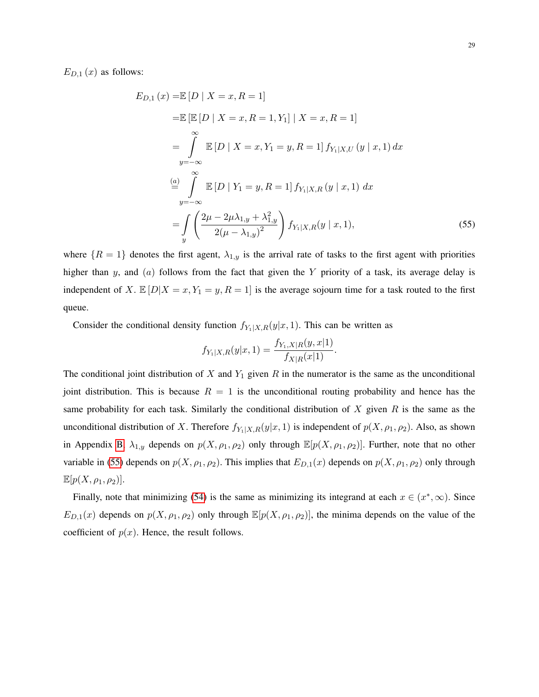$E_{D,1}(x)$  as follows:

$$
E_{D,1}(x) = \mathbb{E}[D | X = x, R = 1]
$$
  
\n
$$
= \mathbb{E}[\mathbb{E}[D | X = x, R = 1, Y_1] | X = x, R = 1]
$$
  
\n
$$
= \int_{y=-\infty}^{\infty} \mathbb{E}[D | X = x, Y_1 = y, R = 1] f_{Y_1|X,U}(y | x, 1) dx
$$
  
\n
$$
\stackrel{(a)}{=} \int_{y=-\infty}^{\infty} \mathbb{E}[D | Y_1 = y, R = 1] f_{Y_1|X,R}(y | x, 1) dx
$$
  
\n
$$
= \int_{y}^{\infty} \left(\frac{2\mu - 2\mu\lambda_{1,y} + \lambda_{1,y}^2}{2(\mu - \lambda_{1,y})^2}\right) f_{Y_1|X,R}(y | x, 1), \tag{55}
$$

where  $\{R = 1\}$  denotes the first agent,  $\lambda_{1,y}$  is the arrival rate of tasks to the first agent with priorities higher than  $y$ , and  $(a)$  follows from the fact that given the Y priority of a task, its average delay is independent of X.  $\mathbb{E}[D|X=x, Y_1=y, R=1]$  is the average sojourn time for a task routed to the first queue.

Consider the conditional density function  $f_{Y_1|X,R}(y|x, 1)$ . This can be written as

<span id="page-29-0"></span>
$$
f_{Y_1|X,R}(y|x,1) = \frac{f_{Y_1,X|R}(y,x|1)}{f_{X|R}(x|1)}.
$$

The conditional joint distribution of  $X$  and  $Y_1$  given  $R$  in the numerator is the same as the unconditional joint distribution. This is because  $R = 1$  is the unconditional routing probability and hence has the same probability for each task. Similarly the conditional distribution of  $X$  given  $R$  is the same as the unconditional distribution of X. Therefore  $f_{Y_1|X,R}(y|x, 1)$  is independent of  $p(X, \rho_1, \rho_2)$ . Also, as shown in Appendix [B,](#page-24-0)  $\lambda_{1,y}$  depends on  $p(X, \rho_1, \rho_2)$  only through  $\mathbb{E}[p(X, \rho_1, \rho_2)]$ . Further, note that no other variable in [\(55\)](#page-29-0) depends on  $p(X, \rho_1, \rho_2)$ . This implies that  $E_{D,1}(x)$  depends on  $p(X, \rho_1, \rho_2)$  only through  $\mathbb{E}[p(X,\rho_1,\rho_2)].$ 

Finally, note that minimizing [\(54\)](#page-28-3) is the same as minimizing its integrand at each  $x \in (x^*, \infty)$ . Since  $E_{D,1}(x)$  depends on  $p(X, \rho_1, \rho_2)$  only through  $\mathbb{E}[p(X, \rho_1, \rho_2)]$ , the minima depends on the value of the coefficient of  $p(x)$ . Hence, the result follows.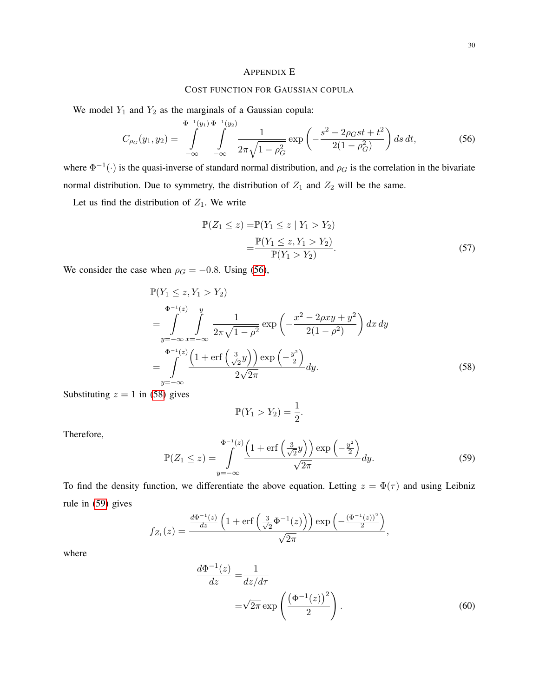# <span id="page-30-1"></span><span id="page-30-0"></span>APPENDIX E

# COST FUNCTION FOR GAUSSIAN COPULA

We model  $Y_1$  and  $Y_2$  as the marginals of a Gaussian copula:

$$
C_{\rho_G}(y_1, y_2) = \int_{-\infty}^{\Phi^{-1}(y_1)} \int_{-\infty}^{\Phi^{-1}(y_2)} \frac{1}{2\pi\sqrt{1-\rho_G^2}} \exp\left(-\frac{s^2 - 2\rho_G st + t^2}{2(1-\rho_G^2)}\right) ds dt,
$$
 (56)

where  $\Phi^{-1}(\cdot)$  is the quasi-inverse of standard normal distribution, and  $\rho_G$  is the correlation in the bivariate normal distribution. Due to symmetry, the distribution of  $Z_1$  and  $Z_2$  will be the same.

Let us find the distribution of  $Z_1$ . We write

$$
\mathbb{P}(Z_1 \le z) = \mathbb{P}(Y_1 \le z \mid Y_1 > Y_2) \n= \frac{\mathbb{P}(Y_1 \le z, Y_1 > Y_2)}{\mathbb{P}(Y_1 > Y_2)}.
$$
\n(57)

We consider the case when  $\rho_G = -0.8$ . Using [\(56\)](#page-30-1),

$$
\mathbb{P}(Y_1 \le z, Y_1 > Y_2)
$$
\n
$$
= \int_{y=-\infty}^{\Phi^{-1}(z)} \int_{x=-\infty}^{y} \frac{1}{2\pi\sqrt{1-\rho^2}} \exp\left(-\frac{x^2 - 2\rho xy + y^2}{2(1-\rho^2)}\right) dx dy
$$
\n
$$
= \int_{y=-\infty}^{\Phi^{-1}(z)} \frac{\left(1 + \text{erf}\left(\frac{3}{\sqrt{2}}y\right)\right) \exp\left(-\frac{y^2}{2}\right)}{2\sqrt{2\pi}} dy.
$$
\n(58)

Substituting  $z = 1$  in [\(58\)](#page-30-2) gives

<span id="page-30-2"></span>
$$
\mathbb{P}(Y_1 > Y_2) = \frac{1}{2}.
$$

Therefore,

<span id="page-30-3"></span>
$$
\mathbb{P}(Z_1 \le z) = \int_{y=-\infty}^{\Phi^{-1}(z)} \frac{\left(1 + \text{erf}\left(\frac{3}{\sqrt{2}}y\right)\right) \exp\left(-\frac{y^2}{2}\right)}{\sqrt{2\pi}} dy. \tag{59}
$$

To find the density function, we differentiate the above equation. Letting  $z = \Phi(\tau)$  and using Leibniz rule in [\(59\)](#page-30-3) gives

$$
f_{Z_1}(z) = \frac{\frac{d\Phi^{-1}(z)}{dz} \left(1 + \text{erf}\left(\frac{3}{\sqrt{2}}\Phi^{-1}(z)\right)\right) \exp\left(-\frac{(\Phi^{-1}(z))^2}{2}\right)}{\sqrt{2\pi}},
$$

where

$$
\frac{d\Phi^{-1}(z)}{dz} = \frac{1}{dz/d\tau}
$$

$$
= \sqrt{2\pi} \exp\left(\frac{\left(\Phi^{-1}(z)\right)^2}{2}\right).
$$
(60)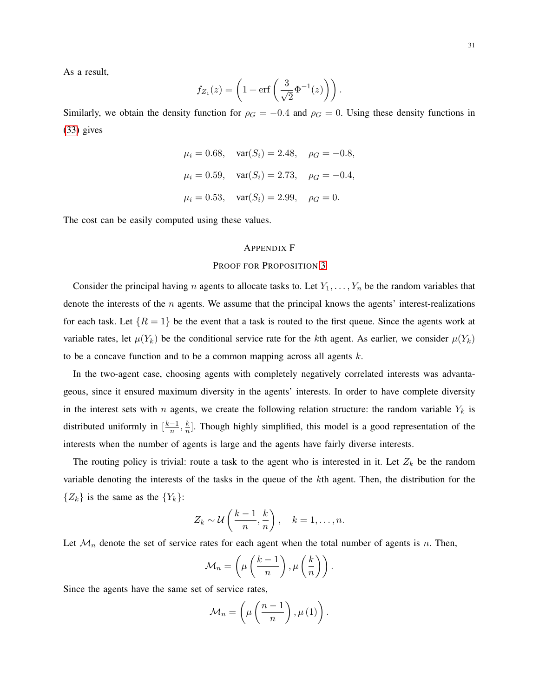As a result,

$$
f_{Z_1}(z) = \left(1 + \text{erf}\left(\frac{3}{\sqrt{2}}\Phi^{-1}(z)\right)\right).
$$

Similarly, we obtain the density function for  $\rho_G = -0.4$  and  $\rho_G = 0$ . Using these density functions in [\(33\)](#page-18-0) gives

$$
\mu_i = 0.68
$$
,  $\text{var}(S_i) = 2.48$ ,  $\rho_G = -0.8$ ,  
\n $\mu_i = 0.59$ ,  $\text{var}(S_i) = 2.73$ ,  $\rho_G = -0.4$ ,  
\n $\mu_i = 0.53$ ,  $\text{var}(S_i) = 2.99$ ,  $\rho_G = 0$ .

The cost can be easily computed using these values.

# <span id="page-31-0"></span>APPENDIX F

## PROOF FOR PROPOSITION [3](#page-21-1)

Consider the principal having n agents to allocate tasks to. Let  $Y_1, \ldots, Y_n$  be the random variables that denote the interests of the  $n$  agents. We assume that the principal knows the agents' interest-realizations for each task. Let  $\{R = 1\}$  be the event that a task is routed to the first queue. Since the agents work at variable rates, let  $\mu(Y_k)$  be the conditional service rate for the kth agent. As earlier, we consider  $\mu(Y_k)$ to be a concave function and to be a common mapping across all agents k.

In the two-agent case, choosing agents with completely negatively correlated interests was advantageous, since it ensured maximum diversity in the agents' interests. In order to have complete diversity in the interest sets with *n* agents, we create the following relation structure: the random variable  $Y_k$  is distributed uniformly in  $\left[\frac{k-1}{n}\right]$  $\frac{-1}{n}, \frac{k}{n}$  $\frac{k}{n}$ . Though highly simplified, this model is a good representation of the interests when the number of agents is large and the agents have fairly diverse interests.

The routing policy is trivial: route a task to the agent who is interested in it. Let  $Z_k$  be the random variable denoting the interests of the tasks in the queue of the kth agent. Then, the distribution for the  ${Z_k}$  is the same as the  ${Y_k}$ :

$$
Z_k \sim \mathcal{U}\left(\frac{k-1}{n}, \frac{k}{n}\right), \quad k = 1, \ldots, n.
$$

Let  $\mathcal{M}_n$  denote the set of service rates for each agent when the total number of agents is n. Then,

$$
\mathcal{M}_n = \left(\mu\left(\frac{k-1}{n}\right), \mu\left(\frac{k}{n}\right)\right).
$$

Since the agents have the same set of service rates,

$$
\mathcal{M}_n = \left(\mu\left(\frac{n-1}{n}\right), \mu\left(1\right)\right).
$$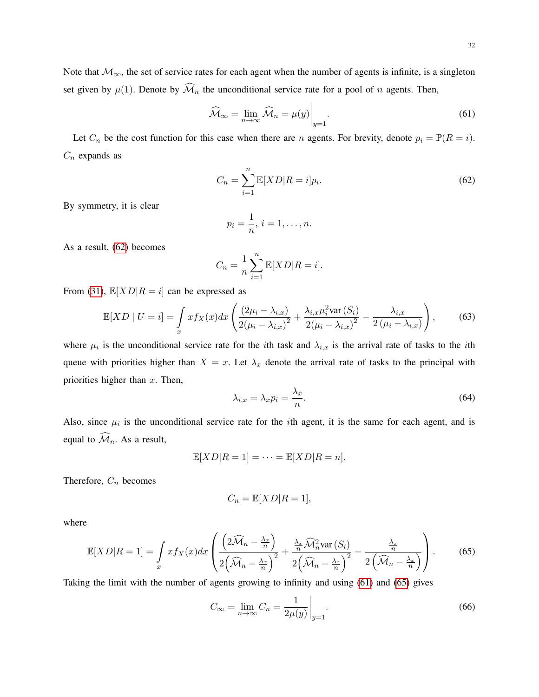Note that  $\mathcal{M}_{\infty}$ , the set of service rates for each agent when the number of agents is infinite, is a singleton set given by  $\mu(1)$ . Denote by  $\widehat{\mathcal{M}}_n$  the unconditional service rate for a pool of n agents. Then,

<span id="page-32-1"></span>
$$
\widehat{\mathcal{M}}_{\infty} = \lim_{n \to \infty} \widehat{\mathcal{M}}_n = \mu(y) \Big|_{y=1}.
$$
\n(61)

Let  $C_n$  be the cost function for this case when there are n agents. For brevity, denote  $p_i = \mathbb{P}(R = i)$ .  $C_n$  expands as

$$
C_n = \sum_{i=1}^n \mathbb{E}[XD | R = i] p_i.
$$
\n(62)

By symmetry, it is clear

<span id="page-32-0"></span>
$$
p_i = \frac{1}{n}, i = 1, \dots, n.
$$

As a result, [\(62\)](#page-32-0) becomes

$$
C_n = \frac{1}{n} \sum_{i=1}^n \mathbb{E}[XD | R = i].
$$

From [\(31\)](#page-18-2),  $\mathbb{E}[XD | R = i]$  can be expressed as

$$
\mathbb{E}[XD \mid U=i] = \int_x x f_X(x) dx \left( \frac{(2\mu_i - \lambda_{i,x})}{2(\mu_i - \lambda_{i,x})^2} + \frac{\lambda_{i,x} \mu_i^2 \text{var}(S_i)}{2(\mu_i - \lambda_{i,x})^2} - \frac{\lambda_{i,x}}{2(\mu_i - \lambda_{i,x})} \right),\tag{63}
$$

where  $\mu_i$  is the unconditional service rate for the *i*th task and  $\lambda_{i,x}$  is the arrival rate of tasks to the *i*th queue with priorities higher than  $X = x$ . Let  $\lambda_x$  denote the arrival rate of tasks to the principal with priorities higher than  $x$ . Then,

$$
\lambda_{i,x} = \lambda_x p_i = \frac{\lambda_x}{n}.\tag{64}
$$

Also, since  $\mu_i$  is the unconditional service rate for the *i*th agent, it is the same for each agent, and is equal to  $\widehat{\mathcal{M}}_n$ . As a result,

$$
\mathbb{E}[XD|R=1] = \cdots = \mathbb{E}[XD|R=n].
$$

Therefore,  $C_n$  becomes

<span id="page-32-2"></span>
$$
C_n = \mathbb{E}[XD|R=1],
$$

where

$$
\mathbb{E}[XD|R=1] = \int_x x f_X(x) dx \left( \frac{\left(2\widehat{\mathcal{M}}_n - \frac{\lambda_x}{n}\right)}{2\left(\widehat{\mathcal{M}}_n - \frac{\lambda_x}{n}\right)^2} + \frac{\frac{\lambda_x}{n}\widehat{\mathcal{M}}_n^2 \text{var}(S_i)}{2\left(\widehat{\mathcal{M}}_n - \frac{\lambda_x}{n}\right)^2} - \frac{\frac{\lambda_x}{n}}{2\left(\widehat{\mathcal{M}}_n - \frac{\lambda_x}{n}\right)} \right). \tag{65}
$$

Taking the limit with the number of agents growing to infinity and using [\(61\)](#page-32-1) and [\(65\)](#page-32-2) gives

$$
C_{\infty} = \lim_{n \to \infty} C_n = \frac{1}{2\mu(y)} \bigg|_{y=1}.
$$
\n(66)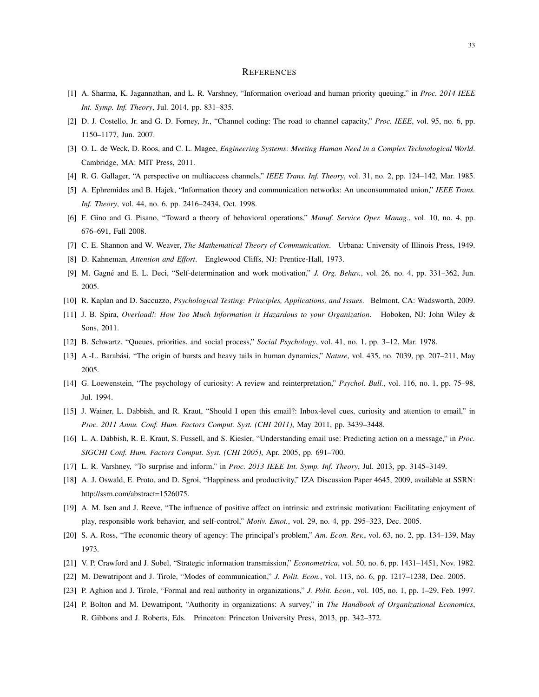#### **REFERENCES**

- <span id="page-33-1"></span>[1] A. Sharma, K. Jagannathan, and L. R. Varshney, "Information overload and human priority queuing," in *Proc. 2014 IEEE Int. Symp. Inf. Theory*, Jul. 2014, pp. 831–835.
- <span id="page-33-0"></span>[2] D. J. Costello, Jr. and G. D. Forney, Jr., "Channel coding: The road to channel capacity," *Proc. IEEE*, vol. 95, no. 6, pp. 1150–1177, Jun. 2007.
- <span id="page-33-2"></span>[3] O. L. de Weck, D. Roos, and C. L. Magee, *Engineering Systems: Meeting Human Need in a Complex Technological World*. Cambridge, MA: MIT Press, 2011.
- <span id="page-33-3"></span>[4] R. G. Gallager, "A perspective on multiaccess channels," *IEEE Trans. Inf. Theory*, vol. 31, no. 2, pp. 124–142, Mar. 1985.
- <span id="page-33-4"></span>[5] A. Ephremides and B. Hajek, "Information theory and communication networks: An unconsummated union," *IEEE Trans. Inf. Theory*, vol. 44, no. 6, pp. 2416–2434, Oct. 1998.
- <span id="page-33-5"></span>[6] F. Gino and G. Pisano, "Toward a theory of behavioral operations," *Manuf. Service Oper. Manag.*, vol. 10, no. 4, pp. 676–691, Fall 2008.
- <span id="page-33-6"></span>[7] C. E. Shannon and W. Weaver, *The Mathematical Theory of Communication*. Urbana: University of Illinois Press, 1949.
- <span id="page-33-7"></span>[8] D. Kahneman, *Attention and Effort*. Englewood Cliffs, NJ: Prentice-Hall, 1973.
- <span id="page-33-8"></span>[9] M. Gagné and E. L. Deci, "Self-determination and work motivation," J. Org. Behav., vol. 26, no. 4, pp. 331–362, Jun. 2005.
- <span id="page-33-18"></span>[10] R. Kaplan and D. Saccuzzo, *Psychological Testing: Principles, Applications, and Issues*. Belmont, CA: Wadsworth, 2009.
- <span id="page-33-9"></span>[11] J. B. Spira, *Overload!: How Too Much Information is Hazardous to your Organization*. Hoboken, NJ: John Wiley & Sons, 2011.
- <span id="page-33-10"></span>[12] B. Schwartz, "Queues, priorities, and social process," *Social Psychology*, vol. 41, no. 1, pp. 3–12, Mar. 1978.
- <span id="page-33-11"></span>[13] A.-L. Barabási, "The origin of bursts and heavy tails in human dynamics," *Nature*, vol. 435, no. 7039, pp. 207–211, May 2005.
- <span id="page-33-12"></span>[14] G. Loewenstein, "The psychology of curiosity: A review and reinterpretation," *Psychol. Bull.*, vol. 116, no. 1, pp. 75–98, Jul. 1994.
- <span id="page-33-13"></span>[15] J. Wainer, L. Dabbish, and R. Kraut, "Should I open this email?: Inbox-level cues, curiosity and attention to email," in *Proc. 2011 Annu. Conf. Hum. Factors Comput. Syst. (CHI 2011)*, May 2011, pp. 3439–3448.
- <span id="page-33-14"></span>[16] L. A. Dabbish, R. E. Kraut, S. Fussell, and S. Kiesler, "Understanding email use: Predicting action on a message," in *Proc. SIGCHI Conf. Hum. Factors Comput. Syst. (CHI 2005)*, Apr. 2005, pp. 691–700.
- <span id="page-33-15"></span>[17] L. R. Varshney, "To surprise and inform," in *Proc. 2013 IEEE Int. Symp. Inf. Theory*, Jul. 2013, pp. 3145–3149.
- <span id="page-33-16"></span>[18] A. J. Oswald, E. Proto, and D. Sgroi, "Happiness and productivity," IZA Discussion Paper 4645, 2009, available at SSRN: http://ssrn.com/abstract=1526075.
- <span id="page-33-17"></span>[19] A. M. Isen and J. Reeve, "The influence of positive affect on intrinsic and extrinsic motivation: Facilitating enjoyment of play, responsible work behavior, and self-control," *Motiv. Emot.*, vol. 29, no. 4, pp. 295–323, Dec. 2005.
- <span id="page-33-19"></span>[20] S. A. Ross, "The economic theory of agency: The principal's problem," *Am. Econ. Rev.*, vol. 63, no. 2, pp. 134–139, May 1973.
- <span id="page-33-20"></span>[21] V. P. Crawford and J. Sobel, "Strategic information transmission," *Econometrica*, vol. 50, no. 6, pp. 1431–1451, Nov. 1982.
- [22] M. Dewatripont and J. Tirole, "Modes of communication," *J. Polit. Econ.*, vol. 113, no. 6, pp. 1217–1238, Dec. 2005.
- [23] P. Aghion and J. Tirole, "Formal and real authority in organizations," *J. Polit. Econ.*, vol. 105, no. 1, pp. 1–29, Feb. 1997.
- <span id="page-33-21"></span>[24] P. Bolton and M. Dewatripont, "Authority in organizations: A survey," in *The Handbook of Organizational Economics*, R. Gibbons and J. Roberts, Eds. Princeton: Princeton University Press, 2013, pp. 342–372.